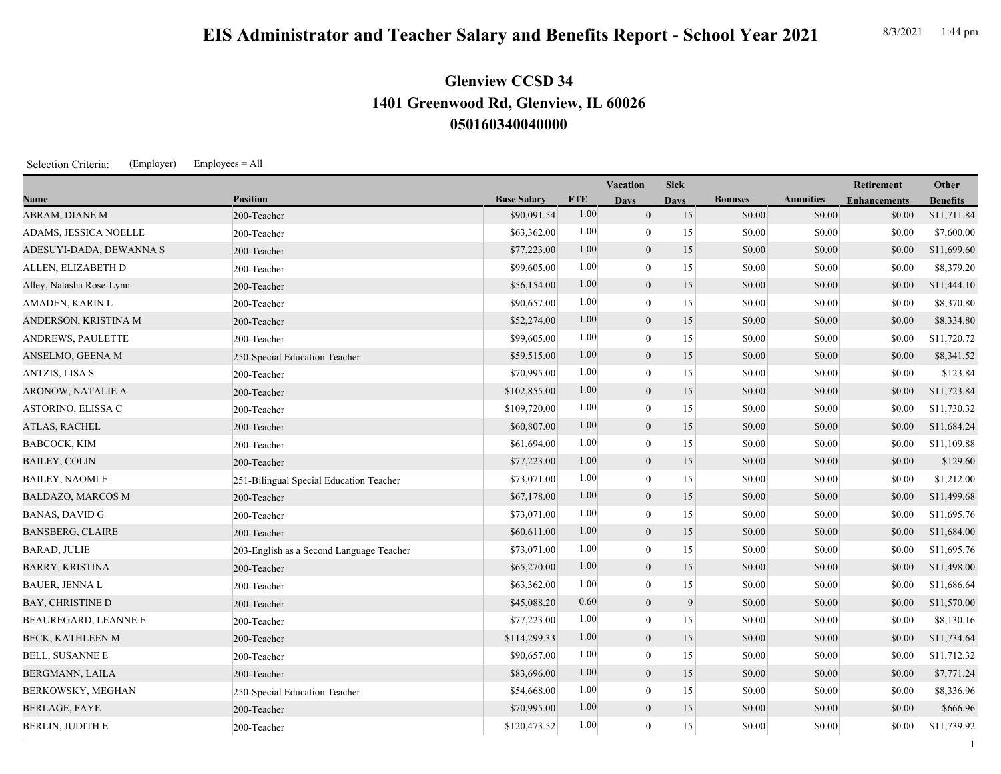## **050160340040000 1401 Greenwood Rd, Glenview, IL 60026 Glenview CCSD 34**

Selection Criteria: (Employer) Employees = All

|                             |                                          |                    |            | Vacation       | <b>Sick</b> |                |                  | Retirement          | Other           |
|-----------------------------|------------------------------------------|--------------------|------------|----------------|-------------|----------------|------------------|---------------------|-----------------|
| Name                        | <b>Position</b>                          | <b>Base Salary</b> | <b>FTE</b> | <b>Days</b>    | <b>Days</b> | <b>Bonuses</b> | <b>Annuities</b> | <b>Enhancements</b> | <b>Benefits</b> |
| ABRAM, DIANE M              | 200-Teacher                              | \$90,091.54        | 1.00       | $\overline{0}$ | 15          | \$0.00         | \$0.00           | \$0.00              | \$11,711.84     |
| ADAMS, JESSICA NOELLE       | 200-Teacher                              | \$63,362.00        | 1.00       | $\overline{0}$ | 15          | \$0.00         | \$0.00           | \$0.00              | \$7,600.00      |
| ADESUYI-DADA, DEWANNA S     | 200-Teacher                              | \$77,223.00        | 1.00       | $\overline{0}$ | 15          | \$0.00         | \$0.00           | \$0.00              | \$11,699.60     |
| ALLEN, ELIZABETH D          | 200-Teacher                              | \$99,605.00        | 1.00       | $\mathbf{0}$   | 15          | \$0.00         | \$0.00           | \$0.00              | \$8,379.20      |
| Alley, Natasha Rose-Lynn    | 200-Teacher                              | \$56,154.00        | 1.00       | $\mathbf{0}$   | 15          | \$0.00         | \$0.00           | \$0.00              | \$11,444.10     |
| AMADEN, KARIN L             | 200-Teacher                              | \$90,657.00        | 1.00       | $\theta$       | 15          | \$0.00         | \$0.00           | \$0.00              | \$8,370.80      |
| ANDERSON, KRISTINA M        | 200-Teacher                              | \$52,274.00        | 1.00       | $\mathbf{0}$   | 15          | \$0.00         | \$0.00           | \$0.00              | \$8,334.80      |
| <b>ANDREWS, PAULETTE</b>    | 200-Teacher                              | \$99,605.00        | 1.00       | $\overline{0}$ | 15          | \$0.00         | \$0.00           | \$0.00              | \$11,720.72     |
| ANSELMO, GEENA M            | 250-Special Education Teacher            | \$59,515.00        | 1.00       | $\mathbf{0}$   | 15          | \$0.00         | \$0.00           | \$0.00              | \$8,341.52      |
| <b>ANTZIS, LISA S</b>       | 200-Teacher                              | \$70,995.00        | 1.00       | $\overline{0}$ | 15          | \$0.00         | \$0.00           | \$0.00              | \$123.84        |
| ARONOW, NATALIE A           | 200-Teacher                              | \$102,855.00       | 1.00       | $\overline{0}$ | 15          | \$0.00         | \$0.00           | \$0.00              | \$11,723.84     |
| ASTORINO, ELISSA C          | 200-Teacher                              | \$109,720.00       | 1.00       | $\theta$       | 15          | \$0.00         | \$0.00           | \$0.00              | \$11,730.32     |
| ATLAS, RACHEL               | 200-Teacher                              | \$60,807.00        | 1.00       | $\mathbf{0}$   | 15          | \$0.00         | \$0.00           | \$0.00              | \$11,684.24     |
| <b>BABCOCK, KIM</b>         | 200-Teacher                              | \$61,694.00        | 1.00       | $\overline{0}$ | 15          | \$0.00         | \$0.00           | \$0.00              | \$11,109.88     |
| <b>BAILEY, COLIN</b>        | 200-Teacher                              | \$77,223.00        | 1.00       | $\mathbf{0}$   | 15          | \$0.00         | \$0.00           | \$0.00              | \$129.60        |
| <b>BAILEY, NAOMI E</b>      | 251-Bilingual Special Education Teacher  | \$73,071.00        | 1.00       | $\theta$       | 15          | \$0.00         | \$0.00           | \$0.00              | \$1,212.00      |
| <b>BALDAZO, MARCOS M</b>    | 200-Teacher                              | \$67,178.00        | 1.00       | $\overline{0}$ | 15          | \$0.00         | \$0.00           | \$0.00              | \$11,499.68     |
| <b>BANAS, DAVID G</b>       | 200-Teacher                              | \$73,071.00        | 1.00       | $\overline{0}$ | 15          | \$0.00         | \$0.00           | \$0.00              | \$11,695.76     |
| <b>BANSBERG, CLAIRE</b>     | 200-Teacher                              | \$60,611.00        | 1.00       | $\mathbf{0}$   | 15          | \$0.00         | \$0.00           | \$0.00              | \$11,684.00     |
| <b>BARAD, JULIE</b>         | 203-English as a Second Language Teacher | \$73,071.00        | 1.00       | $\overline{0}$ | 15          | \$0.00         | \$0.00           | \$0.00              | \$11,695.76     |
| <b>BARRY, KRISTINA</b>      | 200-Teacher                              | \$65,270.00        | 1.00       | $\overline{0}$ | 15          | \$0.00         | \$0.00           | \$0.00              | \$11,498.00     |
| <b>BAUER, JENNA L</b>       | 200-Teacher                              | \$63,362.00        | 1.00       | $\overline{0}$ | 15          | \$0.00         | \$0.00           | \$0.00              | \$11,686.64     |
| <b>BAY, CHRISTINE D</b>     | 200-Teacher                              | \$45,088.20        | 0.60       | $\mathbf{0}$   | 9           | \$0.00         | \$0.00           | \$0.00              | \$11,570.00     |
| <b>BEAUREGARD, LEANNE E</b> | 200-Teacher                              | \$77,223.00        | 1.00       | $\overline{0}$ | 15          | \$0.00         | \$0.00           | \$0.00              | \$8,130.16      |
| <b>BECK, KATHLEEN M</b>     | 200-Teacher                              | \$114,299.33       | 1.00       | $\mathbf{0}$   | 15          | \$0.00         | \$0.00           | \$0.00              | \$11,734.64     |
| <b>BELL, SUSANNE E</b>      | 200-Teacher                              | \$90,657.00        | 1.00       | $\overline{0}$ | 15          | \$0.00         | \$0.00           | \$0.00              | \$11,712.32     |
| <b>BERGMANN, LAILA</b>      | 200-Teacher                              | \$83,696.00        | 1.00       | $\mathbf{0}$   | 15          | \$0.00         | \$0.00           | \$0.00              | \$7,771.24      |
| BERKOWSKY, MEGHAN           | 250-Special Education Teacher            | \$54,668.00        | 1.00       | $\overline{0}$ | 15          | \$0.00         | \$0.00           | \$0.00              | \$8,336.96      |
| <b>BERLAGE, FAYE</b>        | 200-Teacher                              | \$70,995.00        | 1.00       | $\mathbf{0}$   | 15          | \$0.00         | \$0.00           | \$0.00              | \$666.96        |
| <b>BERLIN, JUDITH E</b>     | 200-Teacher                              | \$120,473.52       | 1.00       | $\overline{0}$ | 15          | \$0.00         | \$0.00           | \$0.00              | \$11,739.92     |
|                             |                                          |                    |            |                |             |                |                  |                     | -1              |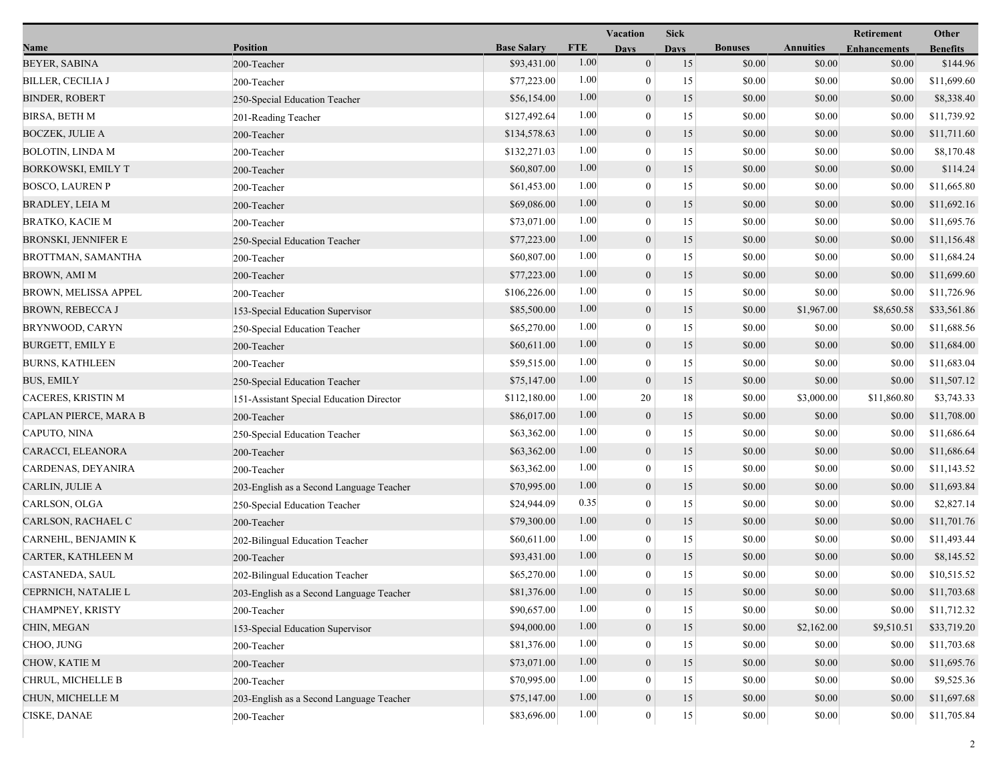|                          |                                          |                    |            | Vacation         | <b>Sick</b> |                |                  | Retirement          | Other           |
|--------------------------|------------------------------------------|--------------------|------------|------------------|-------------|----------------|------------------|---------------------|-----------------|
| Name                     | <b>Position</b>                          | <b>Base Salary</b> | <b>FTE</b> | <b>Days</b>      | <b>Days</b> | <b>Bonuses</b> | <b>Annuities</b> | <b>Enhancements</b> | <b>Benefits</b> |
| <b>BEYER, SABINA</b>     | 200-Teacher                              | \$93,431.00        | 1.00       | $\overline{0}$   | 15          | \$0.00         | \$0.00           | \$0.00              | \$144.96        |
| <b>BILLER, CECILIA J</b> | 200-Teacher                              | \$77,223.00        | 1.00       | $\boldsymbol{0}$ | 15          | \$0.00         | \$0.00           | \$0.00              | \$11,699.60     |
| <b>BINDER, ROBERT</b>    | 250-Special Education Teacher            | \$56,154.00        | 1.00       | $\boldsymbol{0}$ | 15          | \$0.00         | \$0.00           | \$0.00              | \$8,338.40      |
| <b>BIRSA, BETH M</b>     | 201-Reading Teacher                      | \$127,492.64       | 1.00       | $\mathbf{0}$     | 15          | \$0.00         | \$0.00           | \$0.00              | \$11,739.92     |
| <b>BOCZEK, JULIE A</b>   | 200-Teacher                              | \$134,578.63       | 1.00       | $\mathbf{0}$     | 15          | \$0.00         | \$0.00           | \$0.00              | \$11,711.60     |
| <b>BOLOTIN, LINDA M</b>  | 200-Teacher                              | \$132,271.03       | 1.00       | $\boldsymbol{0}$ | 15          | \$0.00         | \$0.00           | \$0.00              | \$8,170.48      |
| BORKOWSKI, EMILY T       | 200-Teacher                              | \$60,807.00        | 1.00       | $\mathbf{0}$     | 15          | \$0.00         | \$0.00           | \$0.00              | \$114.24        |
| <b>BOSCO, LAUREN P</b>   | 200-Teacher                              | \$61,453.00        | 1.00       | $\boldsymbol{0}$ | 15          | \$0.00         | \$0.00           | \$0.00              | \$11,665.80     |
| BRADLEY, LEIA M          | 200-Teacher                              | \$69,086.00        | 1.00       | $\boldsymbol{0}$ | 15          | \$0.00         | \$0.00           | \$0.00              | \$11,692.16     |
| BRATKO, KACIE M          | 200-Teacher                              | \$73,071.00        | 1.00       | $\mathbf{0}$     | 15          | \$0.00         | \$0.00           | \$0.00              | \$11,695.76     |
| BRONSKI, JENNIFER E      | 250-Special Education Teacher            | \$77,223.00        | 1.00       | $\boldsymbol{0}$ | 15          | \$0.00         | \$0.00           | \$0.00              | \$11,156.48     |
| BROTTMAN, SAMANTHA       | 200-Teacher                              | \$60,807.00        | 1.00       | $\bf{0}$         | 15          | \$0.00         | \$0.00           | \$0.00              | \$11,684.24     |
| BROWN, AMI M             | 200-Teacher                              | \$77,223.00        | 1.00       | $\mathbf{0}$     | 15          | \$0.00         | \$0.00           | \$0.00              | \$11,699.60     |
| BROWN, MELISSA APPEL     | 200-Teacher                              | \$106,226.00       | 1.00       | $\bf{0}$         | 15          | \$0.00         | \$0.00           | \$0.00              | \$11,726.96     |
| <b>BROWN, REBECCA J</b>  | 153-Special Education Supervisor         | \$85,500.00        | 1.00       | $\mathbf{0}$     | 15          | \$0.00         | \$1,967.00       | \$8,650.58          | \$33,561.86     |
| BRYNWOOD, CARYN          | 250-Special Education Teacher            | \$65,270.00        | 1.00       | $\mathbf{0}$     | 15          | \$0.00         | \$0.00           | \$0.00              | \$11,688.56     |
| <b>BURGETT, EMILY E</b>  | 200-Teacher                              | \$60,611.00        | 1.00       | $\mathbf{0}$     | 15          | \$0.00         | \$0.00           | \$0.00              | \$11,684.00     |
| <b>BURNS, KATHLEEN</b>   | 200-Teacher                              | \$59,515.00        | 1.00       | $\boldsymbol{0}$ | 15          | \$0.00         | \$0.00           | \$0.00              | \$11,683.04     |
| <b>BUS, EMILY</b>        | 250-Special Education Teacher            | \$75,147.00        | 1.00       | $\mathbf{0}$     | 15          | \$0.00         | \$0.00           | \$0.00              | \$11,507.12     |
| CACERES, KRISTIN M       | 151-Assistant Special Education Director | \$112,180.00       | 1.00       | 20               | 18          | \$0.00         | \$3,000.00       | \$11,860.80         | \$3,743.33      |
| CAPLAN PIERCE, MARA B    | 200-Teacher                              | \$86,017.00        | 1.00       | $\mathbf{0}$     | 15          | \$0.00         | \$0.00           | \$0.00              | \$11,708.00     |
| CAPUTO, NINA             | 250-Special Education Teacher            | \$63,362.00        | 1.00       | $\mathbf{0}$     | 15          | \$0.00         | \$0.00           | \$0.00              | \$11,686.64     |
| CARACCI, ELEANORA        | 200-Teacher                              | \$63,362.00        | 1.00       | $\boldsymbol{0}$ | 15          | \$0.00         | \$0.00           | \$0.00              | \$11,686.64     |
| CARDENAS, DEYANIRA       | 200-Teacher                              | \$63,362.00        | 1.00       | $\boldsymbol{0}$ | 15          | \$0.00         | \$0.00           | \$0.00              | \$11,143.52     |
| CARLIN, JULIE A          | 203-English as a Second Language Teacher | \$70,995.00        | 1.00       | $\mathbf{0}$     | 15          | \$0.00         | \$0.00           | \$0.00              | \$11,693.84     |
| CARLSON, OLGA            | 250-Special Education Teacher            | \$24,944.09        | 0.35       | $\theta$         | 15          | \$0.00         | \$0.00           | \$0.00              | \$2,827.14      |
| CARLSON, RACHAEL C       | 200-Teacher                              | \$79,300.00        | 1.00       | $\boldsymbol{0}$ | 15          | \$0.00         | \$0.00           | \$0.00              | \$11,701.76     |
| CARNEHL, BENJAMIN K      | 202-Bilingual Education Teacher          | \$60,611.00        | 1.00       | $\bf{0}$         | 15          | \$0.00         | \$0.00           | \$0.00              | \$11,493.44     |
| CARTER, KATHLEEN M       | 200-Teacher                              | \$93,431.00        | 1.00       | $\mathbf{0}$     | 15          | \$0.00         | \$0.00           | \$0.00              | \$8,145.52      |
| CASTANEDA, SAUL          | 202-Bilingual Education Teacher          | \$65,270.00        | 1.00       | $\mathbf{0}$     | 15          | \$0.00         | \$0.00           | \$0.00              | \$10,515.52     |
| CEPRNICH, NATALIE L      | 203-English as a Second Language Teacher | \$81,376.00        | $1.00\,$   | $\theta$         | 15          | \$0.00         | \$0.00           | \$0.00              | \$11,703.68     |
| CHAMPNEY, KRISTY         | 200-Teacher                              | \$90,657.00        | 1.00       | $\theta$         | 15          | \$0.00         | \$0.00           | \$0.00              | \$11,712.32     |
| CHIN, MEGAN              | 153-Special Education Supervisor         | \$94,000.00        | 1.00       | $\boldsymbol{0}$ | 15          | \$0.00         | \$2,162.00       | \$9,510.51          | \$33,719.20     |
| CHOO, JUNG               | 200-Teacher                              | \$81,376.00        | 1.00       | $\theta$         | 15          | \$0.00         | \$0.00           | \$0.00              | \$11,703.68     |
| CHOW, KATIE M            | 200-Teacher                              | \$73,071.00        | 1.00       | $\overline{0}$   | 15          | \$0.00         | \$0.00           | \$0.00              | \$11,695.76     |
| CHRUL, MICHELLE B        | 200-Teacher                              | \$70,995.00        | 1.00       | $\theta$         | 15          | \$0.00         | \$0.00           | \$0.00              | \$9,525.36      |
| CHUN, MICHELLE M         | 203-English as a Second Language Teacher | \$75,147.00        | 1.00       | $\boldsymbol{0}$ | 15          | \$0.00         | \$0.00           | \$0.00              | \$11,697.68     |
| CISKE, DANAE             | 200-Teacher                              | \$83,696.00        | 1.00       | $\overline{0}$   | 15          | \$0.00         | \$0.00           | \$0.00              | \$11,705.84     |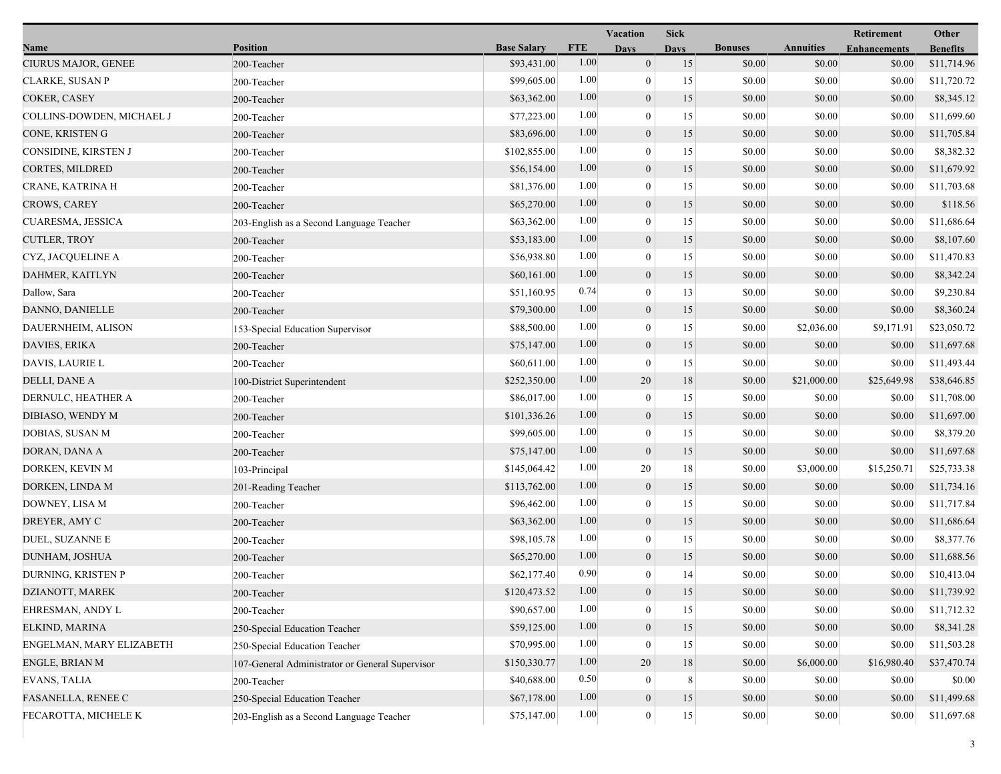|                           |                                                 |                    |            | Vacation         | <b>Sick</b> |                |                  | Retirement          | Other           |
|---------------------------|-------------------------------------------------|--------------------|------------|------------------|-------------|----------------|------------------|---------------------|-----------------|
| Name                      | <b>Position</b>                                 | <b>Base Salary</b> | <b>FTE</b> | <b>Days</b>      | <b>Days</b> | <b>Bonuses</b> | <b>Annuities</b> | <b>Enhancements</b> | <b>Benefits</b> |
| CIURUS MAJOR, GENEE       | 200-Teacher                                     | \$93,431.00        | 1.00       | $\boldsymbol{0}$ | 15          | \$0.00         | \$0.00           | \$0.00              | \$11,714.96     |
| CLARKE, SUSAN P           | 200-Teacher                                     | \$99,605.00        | 1.00       | $\bf{0}$         | 15          | \$0.00         | \$0.00           | \$0.00              | \$11,720.72     |
| COKER, CASEY              | 200-Teacher                                     | \$63,362.00        | 1.00       | $\boldsymbol{0}$ | 15          | \$0.00         | \$0.00           | \$0.00              | \$8,345.12      |
| COLLINS-DOWDEN, MICHAEL J | 200-Teacher                                     | \$77,223.00        | 1.00       | $\mathbf{0}$     | 15          | \$0.00         | \$0.00           | \$0.00              | \$11,699.60     |
| CONE, KRISTEN G           | 200-Teacher                                     | \$83,696.00        | 1.00       | $\boldsymbol{0}$ | 15          | \$0.00         | \$0.00           | \$0.00              | \$11,705.84     |
| CONSIDINE, KIRSTEN J      | 200-Teacher                                     | \$102,855.00       | 1.00       | $\boldsymbol{0}$ | 15          | \$0.00         | \$0.00           | \$0.00              | \$8,382.32      |
| <b>CORTES, MILDRED</b>    | 200-Teacher                                     | \$56,154.00        | 1.00       | $\mathbf{0}$     | 15          | \$0.00         | \$0.00           | \$0.00              | \$11,679.92     |
| CRANE, KATRINA H          | 200-Teacher                                     | \$81,376.00        | 1.00       | $\bf{0}$         | 15          | \$0.00         | \$0.00           | \$0.00              | \$11,703.68     |
| CROWS, CAREY              | 200-Teacher                                     | \$65,270.00        | 1.00       | $\boldsymbol{0}$ | 15          | \$0.00         | \$0.00           | \$0.00              | \$118.56        |
| CUARESMA, JESSICA         | 203-English as a Second Language Teacher        | \$63,362.00        | 1.00       | $\mathbf{0}$     | 15          | \$0.00         | \$0.00           | \$0.00              | \$11,686.64     |
| CUTLER, TROY              | 200-Teacher                                     | \$53,183.00        | 1.00       | $\boldsymbol{0}$ | 15          | \$0.00         | \$0.00           | \$0.00              | \$8,107.60      |
| CYZ, JACQUELINE A         | 200-Teacher                                     | \$56,938.80        | 1.00       | $\boldsymbol{0}$ | 15          | \$0.00         | \$0.00           | \$0.00              | \$11,470.83     |
| DAHMER, KAITLYN           | 200-Teacher                                     | \$60,161.00        | 1.00       | $\mathbf{0}$     | 15          | \$0.00         | \$0.00           | \$0.00              | \$8,342.24      |
| Dallow, Sara              | 200-Teacher                                     | \$51,160.95        | 0.74       | $\bf{0}$         | 13          | \$0.00         | \$0.00           | \$0.00              | \$9,230.84      |
| DANNO, DANIELLE           | 200-Teacher                                     | \$79,300.00        | 1.00       | $\boldsymbol{0}$ | 15          | \$0.00         | \$0.00           | \$0.00              | \$8,360.24      |
| DAUERNHEIM, ALISON        | 153-Special Education Supervisor                | \$88,500.00        | 1.00       | $\mathbf{0}$     | 15          | \$0.00         | \$2,036.00       | \$9,171.91          | \$23,050.72     |
| DAVIES, ERIKA             | 200-Teacher                                     | \$75,147.00        | 1.00       | $\boldsymbol{0}$ | 15          | \$0.00         | \$0.00           | \$0.00              | \$11,697.68     |
| DAVIS, LAURIE L           | 200-Teacher                                     | \$60,611.00        | 1.00       | $\boldsymbol{0}$ | 15          | \$0.00         | \$0.00           | \$0.00              | \$11,493.44     |
| DELLI, DANE A             | 100-District Superintendent                     | \$252,350.00       | 1.00       | 20               | 18          | \$0.00         | \$21,000.00      | \$25,649.98         | \$38,646.85     |
| DERNULC, HEATHER A        | 200-Teacher                                     | \$86,017.00        | 1.00       | $\boldsymbol{0}$ | 15          | \$0.00         | \$0.00           | \$0.00              | \$11,708.00     |
| DIBIASO, WENDY M          | 200-Teacher                                     | \$101,336.26       | 1.00       | $\boldsymbol{0}$ | 15          | \$0.00         | \$0.00           | \$0.00              | \$11,697.00     |
| DOBIAS, SUSAN M           | 200-Teacher                                     | \$99,605.00        | 1.00       | $\boldsymbol{0}$ | 15          | \$0.00         | \$0.00           | \$0.00              | \$8,379.20      |
| DORAN, DANA A             | 200-Teacher                                     | \$75,147.00        | 1.00       | $\mathbf{0}$     | 15          | \$0.00         | \$0.00           | \$0.00              | \$11,697.68     |
| DORKEN, KEVIN M           | 103-Principal                                   | \$145,064.42       | 1.00       | 20               | 18          | \$0.00         | \$3,000.00       | \$15,250.71         | \$25,733.38     |
| DORKEN, LINDA M           | 201-Reading Teacher                             | \$113,762.00       | 1.00       | $\mathbf{0}$     | 15          | \$0.00         | \$0.00           | \$0.00              | \$11,734.16     |
| DOWNEY, LISA M            | 200-Teacher                                     | \$96,462.00        | 1.00       | $\theta$         | 15          | \$0.00         | \$0.00           | \$0.00              | \$11,717.84     |
| DREYER, AMY C             | 200-Teacher                                     | \$63,362.00        | 1.00       | $\boldsymbol{0}$ | 15          | \$0.00         | \$0.00           | \$0.00              | \$11,686.64     |
| DUEL, SUZANNE E           | 200-Teacher                                     | \$98,105.78        | 1.00       | $\boldsymbol{0}$ | 15          | \$0.00         | \$0.00           | \$0.00              | \$8,377.76      |
| DUNHAM, JOSHUA            | 200-Teacher                                     | \$65,270.00        | 1.00       | $\mathbf{0}$     | 15          | \$0.00         | \$0.00           | \$0.00              | \$11,688.56     |
| DURNING, KRISTEN P        | 200-Teacher                                     | \$62,177.40        | 0.90       | $\mathbf{0}$     | 14          | \$0.00         | \$0.00           | \$0.00              | \$10,413.04     |
| DZIANOTT, MAREK           | 200-Teacher                                     | \$120,473.52       | $1.00\,$   | $\boldsymbol{0}$ | 15          | \$0.00         | \$0.00           | \$0.00              | \$11,739.92     |
| EHRESMAN, ANDY L          | 200-Teacher                                     | \$90,657.00        | 1.00       | $\theta$         | 15          | \$0.00         | \$0.00           | \$0.00              | \$11,712.32     |
| ELKIND, MARINA            | 250-Special Education Teacher                   | \$59,125.00        | 1.00       | $\boldsymbol{0}$ | 15          | \$0.00         | \$0.00           | \$0.00              | \$8,341.28      |
| ENGELMAN, MARY ELIZABETH  | 250-Special Education Teacher                   | \$70,995.00        | 1.00       | $\mathbf{0}$     | 15          | \$0.00         | \$0.00           | \$0.00              | \$11,503.28     |
| ENGLE, BRIAN M            | 107-General Administrator or General Supervisor | \$150,330.77       | 1.00       | 20               | 18          | \$0.00         | \$6,000.00       | \$16,980.40         | \$37,470.74     |
| EVANS, TALIA              | 200-Teacher                                     | \$40,688.00        | 0.50       | 0                | 8           | \$0.00         | \$0.00           | \$0.00              | \$0.00          |
| FASANELLA, RENEE C        | 250-Special Education Teacher                   | \$67,178.00        | 1.00       | $\boldsymbol{0}$ | 15          | \$0.00         | \$0.00           | \$0.00              | \$11,499.68     |
| FECAROTTA, MICHELE K      | 203-English as a Second Language Teacher        | \$75,147.00        | 1.00       | $\boldsymbol{0}$ | 15          | \$0.00         | \$0.00           | \$0.00              | \$11,697.68     |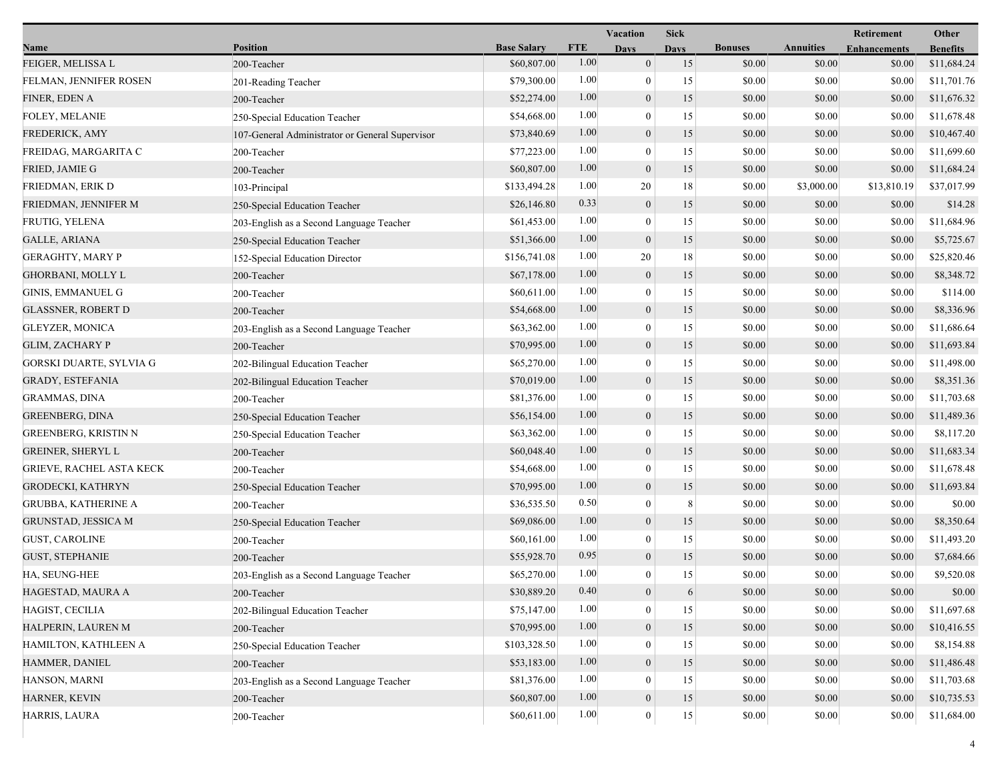|                                 |                                                 |                    |            | Vacation         | <b>Sick</b> |                |                  | Retirement          | Other           |
|---------------------------------|-------------------------------------------------|--------------------|------------|------------------|-------------|----------------|------------------|---------------------|-----------------|
| Name                            | <b>Position</b>                                 | <b>Base Salary</b> | <b>FTE</b> | <b>Days</b>      | <b>Davs</b> | <b>Bonuses</b> | <b>Annuities</b> | <b>Enhancements</b> | <b>Benefits</b> |
| FEIGER, MELISSA L               | 200-Teacher                                     | \$60,807.00        | 1.00       | $\mathbf{0}$     | 15          | \$0.00         | \$0.00           | \$0.00              | \$11,684.24     |
| FELMAN, JENNIFER ROSEN          | 201-Reading Teacher                             | \$79,300.00        | 1.00       | $\bf{0}$         | 15          | \$0.00         | \$0.00           | \$0.00              | \$11,701.76     |
| FINER, EDEN A                   | 200-Teacher                                     | \$52,274.00        | 1.00       | $\boldsymbol{0}$ | 15          | \$0.00         | \$0.00           | \$0.00              | \$11,676.32     |
| FOLEY, MELANIE                  | 250-Special Education Teacher                   | \$54,668.00        | 1.00       | $\mathbf{0}$     | 15          | \$0.00         | \$0.00           | \$0.00              | \$11,678.48     |
| <b>FREDERICK, AMY</b>           | 107-General Administrator or General Supervisor | \$73,840.69        | 1.00       | $\boldsymbol{0}$ | 15          | \$0.00         | \$0.00           | \$0.00              | \$10,467.40     |
| FREIDAG, MARGARITA C            | 200-Teacher                                     | \$77,223.00        | 1.00       | $\mathbf{0}$     | 15          | \$0.00         | \$0.00           | \$0.00              | \$11,699.60     |
| FRIED, JAMIE G                  | 200-Teacher                                     | \$60,807.00        | 1.00       | $\mathbf{0}$     | 15          | \$0.00         | \$0.00           | \$0.00              | \$11,684.24     |
| FRIEDMAN, ERIK D                | 103-Principal                                   | \$133,494.28       | 1.00       | 20               | 18          | \$0.00         | \$3,000.00       | \$13,810.19         | \$37,017.99     |
| FRIEDMAN, JENNIFER M            | 250-Special Education Teacher                   | \$26,146.80        | 0.33       | $\boldsymbol{0}$ | 15          | \$0.00         | \$0.00           | \$0.00              | \$14.28         |
| FRUTIG, YELENA                  | 203-English as a Second Language Teacher        | \$61,453.00        | 1.00       | $\mathbf{0}$     | 15          | \$0.00         | \$0.00           | \$0.00              | \$11,684.96     |
| <b>GALLE, ARIANA</b>            | 250-Special Education Teacher                   | \$51,366.00        | 1.00       | $\mathbf{0}$     | 15          | \$0.00         | \$0.00           | \$0.00              | \$5,725.67      |
| <b>GERAGHTY, MARY P</b>         | 152-Special Education Director                  | \$156,741.08       | 1.00       | 20               | 18          | \$0.00         | \$0.00           | \$0.00              | \$25,820.46     |
| <b>GHORBANI, MOLLY L</b>        | 200-Teacher                                     | \$67,178.00        | 1.00       | $\mathbf{0}$     | 15          | \$0.00         | \$0.00           | \$0.00              | \$8,348.72      |
| <b>GINIS, EMMANUEL G</b>        | 200-Teacher                                     | \$60,611.00        | 1.00       | $\bf{0}$         | 15          | \$0.00         | \$0.00           | \$0.00              | \$114.00        |
| <b>GLASSNER, ROBERT D</b>       | 200-Teacher                                     | \$54,668.00        | 1.00       | $\boldsymbol{0}$ | 15          | \$0.00         | \$0.00           | \$0.00              | \$8,336.96      |
| <b>GLEYZER, MONICA</b>          | 203-English as a Second Language Teacher        | \$63,362.00        | 1.00       | $\mathbf{0}$     | 15          | \$0.00         | \$0.00           | \$0.00              | \$11,686.64     |
| <b>GLIM, ZACHARY P</b>          | 200-Teacher                                     | \$70,995.00        | 1.00       | $\boldsymbol{0}$ | 15          | \$0.00         | \$0.00           | \$0.00              | \$11,693.84     |
| GORSKI DUARTE, SYLVIA G         | 202-Bilingual Education Teacher                 | \$65,270.00        | 1.00       | $\mathbf{0}$     | 15          | \$0.00         | \$0.00           | \$0.00              | \$11,498.00     |
| <b>GRADY, ESTEFANIA</b>         | 202-Bilingual Education Teacher                 | \$70,019.00        | 1.00       | $\overline{0}$   | 15          | \$0.00         | \$0.00           | \$0.00              | \$8,351.36      |
| <b>GRAMMAS, DINA</b>            | 200-Teacher                                     | \$81,376.00        | 1.00       | $\theta$         | 15          | \$0.00         | \$0.00           | \$0.00              | \$11,703.68     |
| <b>GREENBERG, DINA</b>          | 250-Special Education Teacher                   | \$56,154.00        | 1.00       | $\boldsymbol{0}$ | 15          | \$0.00         | \$0.00           | \$0.00              | \$11,489.36     |
| GREENBERG, KRISTIN N            | 250-Special Education Teacher                   | \$63,362.00        | 1.00       | $\theta$         | 15          | \$0.00         | \$0.00           | \$0.00              | \$8,117.20      |
| <b>GREINER, SHERYL L</b>        | 200-Teacher                                     | \$60,048.40        | 1.00       | $\mathbf{0}$     | 15          | \$0.00         | \$0.00           | \$0.00              | \$11,683.34     |
| <b>GRIEVE, RACHEL ASTA KECK</b> | 200-Teacher                                     | \$54,668.00        | 1.00       | $\mathbf{0}$     | 15          | \$0.00         | \$0.00           | \$0.00              | \$11,678.48     |
| GRODECKI, KATHRYN               | 250-Special Education Teacher                   | \$70,995.00        | 1.00       | $\overline{0}$   | 15          | \$0.00         | \$0.00           | \$0.00              | \$11,693.84     |
| <b>GRUBBA, KATHERINE A</b>      | 200-Teacher                                     | \$36,535.50        | 0.50       | $\theta$         | $\,8\,$     | \$0.00         | \$0.00           | \$0.00              | \$0.00          |
| <b>GRUNSTAD, JESSICA M</b>      | 250-Special Education Teacher                   | \$69,086.00        | 1.00       | $\mathbf{0}$     | 15          | \$0.00         | \$0.00           | \$0.00              | \$8,350.64      |
| <b>GUST, CAROLINE</b>           | 200-Teacher                                     | \$60,161.00        | 1.00       | $\mathbf{0}$     | 15          | \$0.00         | \$0.00           | \$0.00              | \$11,493.20     |
| <b>GUST, STEPHANIE</b>          | 200-Teacher                                     | \$55,928.70        | 0.95       | $\mathbf{0}$     | 15          | \$0.00         | \$0.00           | \$0.00              | \$7,684.66      |
| HA, SEUNG-HEE                   | 203-English as a Second Language Teacher        | \$65,270.00        | 1.00       | $\overline{0}$   | 15          | \$0.00         | \$0.00           | \$0.00              | \$9,520.08      |
| HAGESTAD, MAURA A               | 200-Teacher                                     | \$30,889.20        | 0.40       | $\boldsymbol{0}$ | 6           | \$0.00         | \$0.00           | \$0.00              | \$0.00          |
| HAGIST, CECILIA                 | 202-Bilingual Education Teacher                 | \$75,147.00        | 1.00       | $\theta$         | 15          | \$0.00         | \$0.00           | \$0.00              | \$11,697.68     |
| HALPERIN, LAUREN M              | 200-Teacher                                     | \$70,995.00        | 1.00       | $\boldsymbol{0}$ | 15          | \$0.00         | \$0.00           | \$0.00              | \$10,416.55     |
| HAMILTON, KATHLEEN A            | 250-Special Education Teacher                   | \$103,328.50       | 1.00       | $\theta$         | 15          | \$0.00         | \$0.00           | \$0.00              | \$8,154.88      |
| HAMMER, DANIEL                  | 200-Teacher                                     | \$53,183.00        | 1.00       | $\mathbf{0}$     | 15          | \$0.00         | \$0.00           | \$0.00              | \$11,486.48     |
| HANSON, MARNI                   | 203-English as a Second Language Teacher        | \$81,376.00        | 1.00       | $\theta$         | 15          | \$0.00         | \$0.00           | \$0.00              | \$11,703.68     |
| HARNER, KEVIN                   | 200-Teacher                                     | \$60,807.00        | 1.00       | $\boldsymbol{0}$ | 15          | \$0.00         | \$0.00           | \$0.00              | \$10,735.53     |
| HARRIS, LAURA                   | 200-Teacher                                     | \$60,611.00        | 1.00       | $\boldsymbol{0}$ | $15\,$      | \$0.00         | \$0.00           | \$0.00              | \$11,684.00     |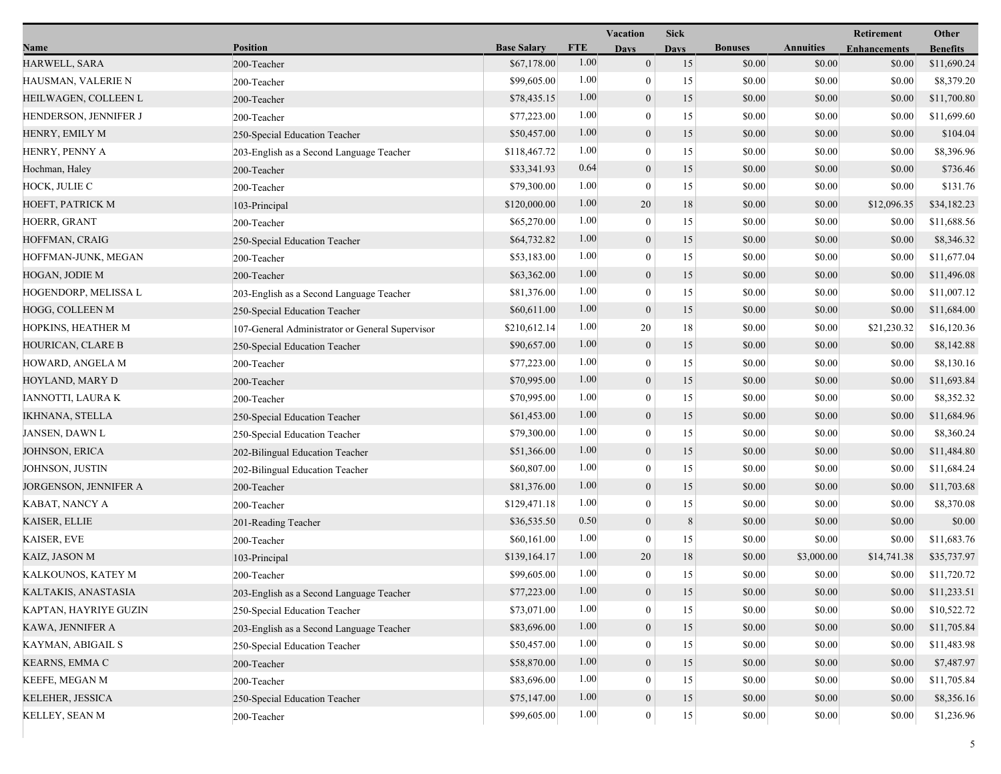|                        |                                                 |                    | Vacation   |                  |             |                |                  | Other                             |                 |
|------------------------|-------------------------------------------------|--------------------|------------|------------------|-------------|----------------|------------------|-----------------------------------|-----------------|
| Name                   | Position                                        | <b>Base Salary</b> | <b>FTE</b> | <b>Days</b>      | <b>Days</b> | <b>Bonuses</b> | <b>Annuities</b> | Retirement<br><b>Enhancements</b> | <b>Benefits</b> |
| HARWELL, SARA          | 200-Teacher                                     | \$67,178.00        | 1.00       | $\overline{0}$   | 15          | \$0.00         | \$0.00           | \$0.00                            | \$11,690.24     |
| HAUSMAN, VALERIE N     | 200-Teacher                                     | \$99,605.00        | 1.00       | $\overline{0}$   | 15          | \$0.00         | \$0.00           | \$0.00                            | \$8,379.20      |
| HEILWAGEN, COLLEEN L   | 200-Teacher                                     | \$78,435.15        | 1.00       | $\boldsymbol{0}$ | 15          | \$0.00         | \$0.00           | \$0.00                            | \$11,700.80     |
| HENDERSON, JENNIFER J  | 200-Teacher                                     | \$77,223.00        | 1.00       | $\mathbf{0}$     | 15          | \$0.00         | \$0.00           | \$0.00                            | \$11,699.60     |
| HENRY, EMILY M         | 250-Special Education Teacher                   | \$50,457.00        | 1.00       | $\overline{0}$   | 15          | \$0.00         | \$0.00           | \$0.00                            | \$104.04        |
| HENRY, PENNY A         | 203-English as a Second Language Teacher        | \$118,467.72       | 1.00       | $\overline{0}$   | 15          | \$0.00         | \$0.00           | \$0.00                            | \$8,396.96      |
| Hochman, Haley         | 200-Teacher                                     | \$33,341.93        | 0.64       | $\overline{0}$   | 15          | \$0.00         | \$0.00           | \$0.00                            | \$736.46        |
| HOCK, JULIE C          | 200-Teacher                                     | \$79,300.00        | 1.00       | $\overline{0}$   | 15          | \$0.00         | \$0.00           | \$0.00                            | \$131.76        |
| HOEFT, PATRICK M       | 103-Principal                                   | \$120,000.00       | 1.00       | 20               | 18          | \$0.00         | \$0.00           | \$12,096.35                       | \$34,182.23     |
| HOERR, GRANT           | 200-Teacher                                     | \$65,270.00        | 1.00       | $\mathbf{0}$     | 15          | \$0.00         | \$0.00           | \$0.00                            | \$11,688.56     |
| HOFFMAN, CRAIG         | 250-Special Education Teacher                   | \$64,732.82        | 1.00       | $\overline{0}$   | 15          | \$0.00         | \$0.00           | \$0.00                            | \$8,346.32      |
| HOFFMAN-JUNK, MEGAN    | 200-Teacher                                     | \$53,183.00        | 1.00       | $\overline{0}$   | 15          | \$0.00         | \$0.00           | \$0.00                            | \$11,677.04     |
| HOGAN, JODIE M         | 200-Teacher                                     | \$63,362.00        | 1.00       | $\overline{0}$   | 15          | \$0.00         | \$0.00           | \$0.00                            | \$11,496.08     |
| HOGENDORP, MELISSA L   | 203-English as a Second Language Teacher        | \$81,376.00        | 1.00       | $\overline{0}$   | 15          | \$0.00         | \$0.00           | \$0.00                            | \$11,007.12     |
| HOGG, COLLEEN M        | 250-Special Education Teacher                   | \$60,611.00        | 1.00       | $\overline{0}$   | 15          | \$0.00         | \$0.00           | \$0.00                            | \$11,684.00     |
| HOPKINS, HEATHER M     | 107-General Administrator or General Supervisor | \$210,612.14       | 1.00       | 20               | 18          | \$0.00         | \$0.00           | \$21,230.32                       | \$16,120.36     |
| HOURICAN, CLARE B      | 250-Special Education Teacher                   | \$90,657.00        | 1.00       | $\overline{0}$   | 15          | \$0.00         | \$0.00           | \$0.00                            | \$8,142.88      |
| HOWARD, ANGELA M       | 200-Teacher                                     | \$77,223.00        | 1.00       | $\boldsymbol{0}$ | 15          | \$0.00         | \$0.00           | \$0.00                            | \$8,130.16      |
| HOYLAND, MARY D        | 200-Teacher                                     | \$70,995.00        | 1.00       | $\mathbf{0}$     | 15          | \$0.00         | \$0.00           | \$0.00                            | \$11,693.84     |
| IANNOTTI, LAURA K      | 200-Teacher                                     | \$70,995.00        | 1.00       | $\mathbf{0}$     | 15          | \$0.00         | \$0.00           | \$0.00                            | \$8,352.32      |
| <b>IKHNANA, STELLA</b> | 250-Special Education Teacher                   | \$61,453.00        | 1.00       | $\boldsymbol{0}$ | 15          | \$0.00         | \$0.00           | \$0.00                            | \$11,684.96     |
| JANSEN, DAWN L         | 250-Special Education Teacher                   | \$79,300.00        | 1.00       | $\overline{0}$   | 15          | \$0.00         | \$0.00           | \$0.00                            | \$8,360.24      |
| JOHNSON, ERICA         | 202-Bilingual Education Teacher                 | \$51,366.00        | 1.00       | $\overline{0}$   | 15          | \$0.00         | \$0.00           | \$0.00                            | \$11,484.80     |
| JOHNSON, JUSTIN        | 202-Bilingual Education Teacher                 | \$60,807.00        | 1.00       | $\mathbf{0}$     | 15          | \$0.00         | \$0.00           | \$0.00                            | \$11,684.24     |
| JORGENSON, JENNIFER A  | 200-Teacher                                     | \$81,376.00        | 1.00       | $\mathbf{0}$     | 15          | \$0.00         | \$0.00           | \$0.00                            | \$11,703.68     |
| KABAT, NANCY A         | 200-Teacher                                     | \$129,471.18       | 1.00       | $\overline{0}$   | 15          | \$0.00         | \$0.00           | \$0.00                            | \$8,370.08      |
| KAISER, ELLIE          | 201-Reading Teacher                             | \$36,535.50        | 0.50       | $\boldsymbol{0}$ | 8           | \$0.00         | \$0.00           | \$0.00                            | \$0.00          |
| KAISER, EVE            | 200-Teacher                                     | \$60,161.00        | 1.00       | $\theta$         | 15          | \$0.00         | \$0.00           | \$0.00                            | \$11,683.76     |
| KAIZ, JASON M          | 103-Principal                                   | \$139,164.17       | 1.00       | 20               | 18          | \$0.00         | \$3,000.00       | \$14,741.38                       | \$35,737.97     |
| KALKOUNOS, KATEY M     | 200-Teacher                                     | \$99,605.00        | 1.00       | $\mathbf{0}$     | 15          | \$0.00         | \$0.00           | \$0.00                            | \$11,720.72     |
| KALTAKIS, ANASTASIA    | 203-English as a Second Language Teacher        | \$77,223.00        | 1.00       | $\boldsymbol{0}$ | 15          | \$0.00         | \$0.00           | \$0.00                            | \$11,233.51     |
| KAPTAN, HAYRIYE GUZIN  | 250-Special Education Teacher                   | \$73,071.00        | 1.00       | $\overline{0}$   | 15          | \$0.00         | \$0.00           | \$0.00                            | \$10,522.72     |
| KAWA, JENNIFER A       | 203-English as a Second Language Teacher        | \$83,696.00        | 1.00       | $\boldsymbol{0}$ | 15          | \$0.00         | \$0.00           | \$0.00                            | \$11,705.84     |
| KAYMAN, ABIGAIL S      | 250-Special Education Teacher                   | \$50,457.00        | 1.00       | $\theta$         | 15          | \$0.00         | \$0.00           | \$0.00                            | \$11,483.98     |
| KEARNS, EMMA C         | 200-Teacher                                     | \$58,870.00        | 1.00       | $\mathbf{0}$     | 15          | \$0.00         | \$0.00           | \$0.00                            | \$7,487.97      |
| KEEFE, MEGAN M         | 200-Teacher                                     | \$83,696.00        | 1.00       | 0                | 15          | \$0.00         | \$0.00           | \$0.00                            | \$11,705.84     |
| KELEHER, JESSICA       | 250-Special Education Teacher                   | \$75,147.00        | 1.00       | $\mathbf{0}$     | 15          | \$0.00         | \$0.00           | \$0.00                            | \$8,356.16      |
| KELLEY, SEAN M         | 200-Teacher                                     | \$99,605.00        | 1.00       | 0                | 15          | \$0.00         | \$0.00           | \$0.00                            | \$1,236.96      |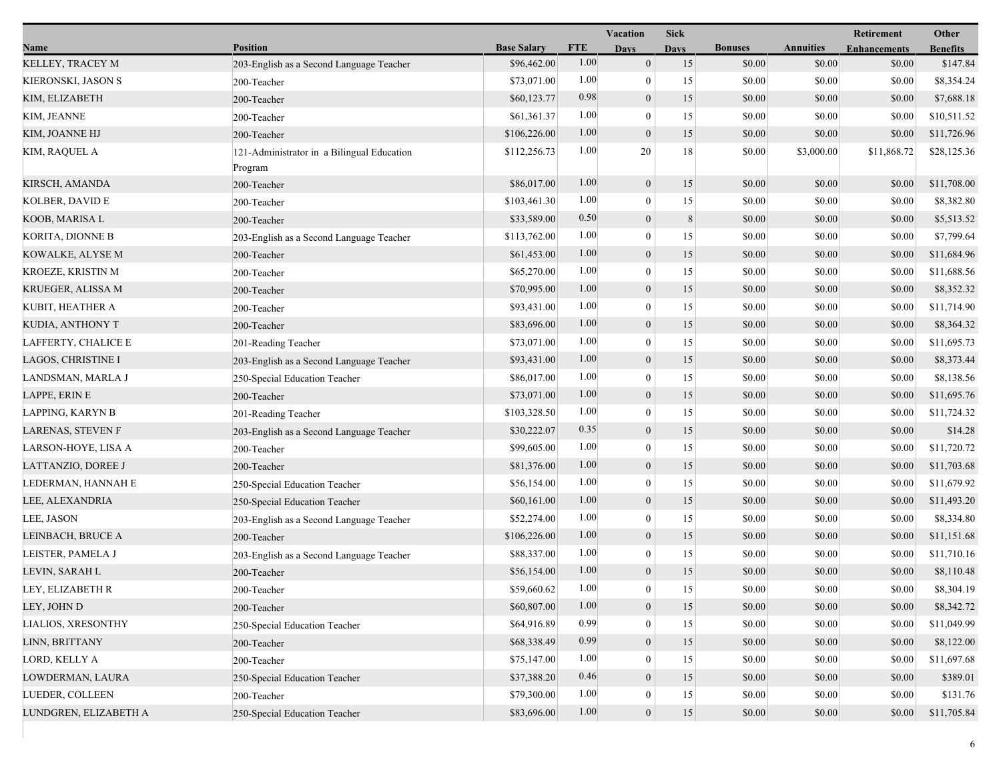|                       |                                                       |                    | Vacation   |                  | <b>Sick</b> |                |                  | Retirement          | Other           |
|-----------------------|-------------------------------------------------------|--------------------|------------|------------------|-------------|----------------|------------------|---------------------|-----------------|
| Name                  | <b>Position</b>                                       | <b>Base Salary</b> | <b>FTE</b> | <b>Days</b>      | <b>Days</b> | <b>Bonuses</b> | <b>Annuities</b> | <b>Enhancements</b> | <b>Benefits</b> |
| KELLEY, TRACEY M      | 203-English as a Second Language Teacher              | \$96,462.00        | 1.00       | $\mathbf{0}$     | 15          | \$0.00         | \$0.00           | \$0.00              | \$147.84        |
| KIERONSKI, JASON S    | 200-Teacher                                           | \$73,071.00        | 1.00       | $\theta$         | 15          | \$0.00         | \$0.00           | \$0.00              | \$8,354.24      |
| KIM, ELIZABETH        | 200-Teacher                                           | \$60,123.77        | 0.98       | $\mathbf{0}$     | 15          | \$0.00         | \$0.00           | \$0.00              | \$7,688.18      |
| KIM, JEANNE           | 200-Teacher                                           | \$61,361.37        | 1.00       | $\mathbf{0}$     | 15          | \$0.00         | \$0.00           | \$0.00              | \$10,511.52     |
| KIM, JOANNE HJ        | 200-Teacher                                           | \$106,226.00       | 1.00       | $\mathbf{0}$     | 15          | \$0.00         | \$0.00           | \$0.00              | \$11,726.96     |
| KIM, RAQUEL A         | 121-Administrator in a Bilingual Education<br>Program | \$112,256.73       | 1.00       | 20               | 18          | \$0.00         | \$3,000.00       | \$11,868.72         | \$28,125.36     |
| KIRSCH, AMANDA        | 200-Teacher                                           | \$86,017.00        | 1.00       | $\mathbf{0}$     | 15          | \$0.00         | \$0.00           | \$0.00              | \$11,708.00     |
| KOLBER, DAVID E       | 200-Teacher                                           | \$103,461.30       | 1.00       | $\overline{0}$   | 15          | \$0.00         | \$0.00           | \$0.00              | \$8,382.80      |
| KOOB, MARISA L        | 200-Teacher                                           | \$33,589.00        | 0.50       | $\boldsymbol{0}$ | 8           | \$0.00         | \$0.00           | \$0.00              | \$5,513.52      |
| KORITA, DIONNE B      | 203-English as a Second Language Teacher              | \$113,762.00       | 1.00       | $\theta$         | 15          | \$0.00         | \$0.00           | \$0.00              | \$7,799.64      |
| KOWALKE, ALYSE M      | 200-Teacher                                           | \$61,453.00        | 1.00       | $\mathbf{0}$     | 15          | \$0.00         | \$0.00           | \$0.00              | \$11,684.96     |
| KROEZE, KRISTIN M     | 200-Teacher                                           | \$65,270.00        | 1.00       | $\theta$         | 15          | \$0.00         | \$0.00           | \$0.00              | \$11,688.56     |
| KRUEGER, ALISSA M     | 200-Teacher                                           | \$70,995.00        | 1.00       | $\theta$         | 15          | \$0.00         | \$0.00           | \$0.00              | \$8,352.32      |
| KUBIT, HEATHER A      | 200-Teacher                                           | \$93,431.00        | 1.00       | $\theta$         | 15          | \$0.00         | \$0.00           | \$0.00              | \$11,714.90     |
| KUDIA, ANTHONY T      | 200-Teacher                                           | \$83,696.00        | 1.00       | $\mathbf{0}$     | 15          | \$0.00         | \$0.00           | \$0.00              | \$8,364.32      |
| LAFFERTY, CHALICE E   | 201-Reading Teacher                                   | \$73,071.00        | 1.00       | $\theta$         | 15          | \$0.00         | \$0.00           | \$0.00              | \$11,695.73     |
| LAGOS, CHRISTINE I    | 203-English as a Second Language Teacher              | \$93,431.00        | 1.00       | $\mathbf{0}$     | 15          | \$0.00         | \$0.00           | \$0.00              | \$8,373.44      |
| LANDSMAN, MARLA J     | 250-Special Education Teacher                         | \$86,017.00        | 1.00       | $\mathbf{0}$     | 15          | \$0.00         | \$0.00           | \$0.00              | \$8,138.56      |
| LAPPE, ERIN E         | 200-Teacher                                           | \$73,071.00        | 1.00       | $\mathbf{0}$     | 15          | \$0.00         | \$0.00           | \$0.00              | \$11,695.76     |
| LAPPING, KARYN B      | 201-Reading Teacher                                   | \$103,328.50       | 1.00       | $\theta$         | 15          | \$0.00         | \$0.00           | \$0.00              | \$11,724.32     |
| LARENAS, STEVEN F     | 203-English as a Second Language Teacher              | \$30,222.07        | 0.35       | $\mathbf{0}$     | 15          | \$0.00         | \$0.00           | \$0.00              | \$14.28         |
| LARSON-HOYE, LISA A   | 200-Teacher                                           | \$99,605.00        | 1.00       | $\theta$         | 15          | \$0.00         | \$0.00           | \$0.00              | \$11,720.72     |
| LATTANZIO, DOREE J    | 200-Teacher                                           | \$81,376.00        | 1.00       | $\mathbf{0}$     | 15          | \$0.00         | \$0.00           | \$0.00              | \$11,703.68     |
| LEDERMAN, HANNAH E    | 250-Special Education Teacher                         | \$56,154.00        | 1.00       | $\overline{0}$   | 15          | \$0.00         | \$0.00           | \$0.00              | \$11,679.92     |
| LEE, ALEXANDRIA       | 250-Special Education Teacher                         | \$60,161.00        | 1.00       | $\mathbf{0}$     | 15          | \$0.00         | \$0.00           | \$0.00              | \$11,493.20     |
| LEE, JASON            | 203-English as a Second Language Teacher              | \$52,274.00        | 1.00       | $\theta$         | 15          | \$0.00         | \$0.00           | \$0.00              | \$8,334.80      |
| LEINBACH, BRUCE A     | 200-Teacher                                           | \$106,226.00       | 1.00       | $\mathbf{0}$     | 15          | \$0.00         | \$0.00           | \$0.00              | \$11,151.68     |
| LEISTER, PAMELA J     | 203-English as a Second Language Teacher              | \$88,337.00        | 1.00       | $\overline{0}$   | 15          | \$0.00         | \$0.00           | \$0.00              | \$11,710.16     |
| LEVIN, SARAH L        | 200-Teacher                                           | \$56,154.00        | 1.00       | $\mathbf{0}$     | 15          | \$0.00         | \$0.00           | \$0.00              | \$8,110.48      |
| LEY, ELIZABETH R      | 200-Teacher                                           | \$59,660.62        | 1.00       | $\boldsymbol{0}$ | 15          | $\$0.00$       | \$0.00           | $\$0.00$            | \$8,304.19      |
| LEY, JOHN D           | 200-Teacher                                           | \$60,807.00        | 1.00       | $\mathbf{0}$     | 15          | \$0.00         | \$0.00           | \$0.00              | \$8,342.72      |
| LIALIOS, XRESONTHY    | 250-Special Education Teacher                         | \$64,916.89        | 0.99       | $\theta$         | 15          | \$0.00         | \$0.00           | \$0.00              | \$11,049.99     |
| LINN, BRITTANY        | 200-Teacher                                           | \$68,338.49        | 0.99       | $\theta$         | 15          | \$0.00         | \$0.00           | \$0.00              | \$8,122.00      |
| LORD, KELLY A         | 200-Teacher                                           | \$75,147.00        | 1.00       | $\theta$         | 15          | \$0.00         | \$0.00           | \$0.00              | \$11,697.68     |
| LOWDERMAN, LAURA      | 250-Special Education Teacher                         | \$37,388.20        | 0.46       | $\mathbf{0}$     | 15          | \$0.00         | \$0.00           | \$0.00              | \$389.01        |
| LUEDER, COLLEEN       | 200-Teacher                                           | \$79,300.00        | 1.00       | $\theta$         | 15          | \$0.00         | \$0.00           | \$0.00              | \$131.76        |
| LUNDGREN, ELIZABETH A | 250-Special Education Teacher                         | \$83,696.00        | $1.00\,$   | $\boldsymbol{0}$ | $15\,$      | \$0.00         | \$0.00           | \$0.00              | \$11,705.84     |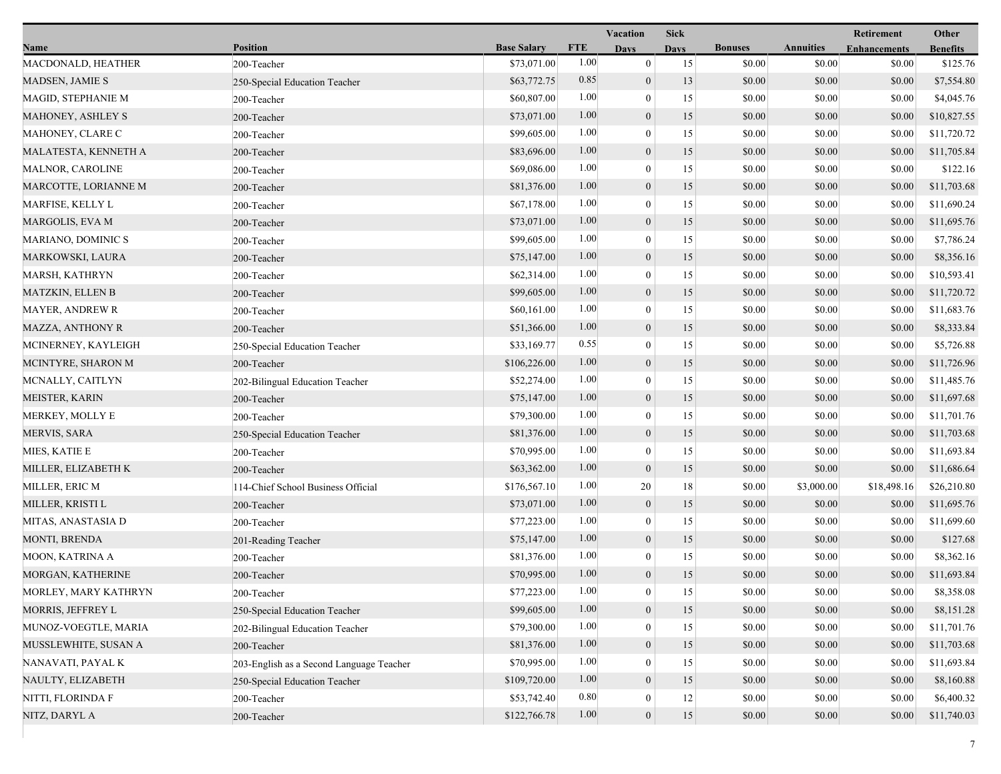|                         |                                          |                    | <b>Sick</b><br>Vacation |                  |             |                |                  | Other               |                 |
|-------------------------|------------------------------------------|--------------------|-------------------------|------------------|-------------|----------------|------------------|---------------------|-----------------|
| Name                    | <b>Position</b>                          | <b>Base Salary</b> | <b>FTE</b>              | <b>Days</b>      | <b>Days</b> | <b>Bonuses</b> | <b>Annuities</b> | <b>Enhancements</b> | <b>Benefits</b> |
| MACDONALD, HEATHER      | 200-Teacher                              | \$73,071.00        | 1.00                    | $\mathbf{0}$     | 15          | \$0.00         | \$0.00           | \$0.00              | \$125.76        |
| MADSEN, JAMIE S         | 250-Special Education Teacher            | \$63,772.75        | 0.85                    | $\boldsymbol{0}$ | 13          | \$0.00         | \$0.00           | \$0.00              | \$7,554.80      |
| MAGID, STEPHANIE M      | 200-Teacher                              | \$60,807.00        | 1.00                    | $\boldsymbol{0}$ | 15          | \$0.00         | \$0.00           | \$0.00              | \$4,045.76      |
| MAHONEY, ASHLEY S       | 200-Teacher                              | \$73,071.00        | 1.00                    | $\boldsymbol{0}$ | 15          | \$0.00         | \$0.00           | \$0.00              | \$10,827.55     |
| MAHONEY, CLARE C        | 200-Teacher                              | \$99,605.00        | 1.00                    | $\mathbf{0}$     | 15          | \$0.00         | \$0.00           | \$0.00              | \$11,720.72     |
| MALATESTA, KENNETH A    | 200-Teacher                              | \$83,696.00        | 1.00                    | $\boldsymbol{0}$ | 15          | \$0.00         | \$0.00           | \$0.00              | \$11,705.84     |
| MALNOR, CAROLINE        | 200-Teacher                              | \$69,086.00        | 1.00                    | $\mathbf{0}$     | 15          | \$0.00         | \$0.00           | \$0.00              | \$122.16        |
| MARCOTTE, LORIANNE M    | 200-Teacher                              | \$81,376.00        | 1.00                    | $\boldsymbol{0}$ | 15          | \$0.00         | \$0.00           | \$0.00              | \$11,703.68     |
| MARFISE, KELLY L        | 200-Teacher                              | \$67,178.00        | 1.00                    | $\boldsymbol{0}$ | 15          | \$0.00         | \$0.00           | \$0.00              | \$11,690.24     |
| <b>MARGOLIS, EVA M</b>  | 200-Teacher                              | \$73,071.00        | 1.00                    | $\mathbf{0}$     | 15          | \$0.00         | \$0.00           | \$0.00              | \$11,695.76     |
| MARIANO, DOMINIC S      | 200-Teacher                              | \$99,605.00        | 1.00                    | $\bf{0}$         | 15          | \$0.00         | \$0.00           | \$0.00              | \$7,786.24      |
| MARKOWSKI, LAURA        | 200-Teacher                              | \$75,147.00        | 1.00                    | $\mathbf{0}$     | 15          | \$0.00         | \$0.00           | \$0.00              | \$8,356.16      |
| MARSH, KATHRYN          | 200-Teacher                              | \$62,314.00        | 1.00                    | $\mathbf{0}$     | 15          | \$0.00         | \$0.00           | \$0.00              | \$10,593.41     |
| <b>MATZKIN, ELLEN B</b> | 200-Teacher                              | \$99,605.00        | 1.00                    | $\mathbf{0}$     | 15          | \$0.00         | \$0.00           | \$0.00              | \$11,720.72     |
| <b>MAYER, ANDREW R</b>  | 200-Teacher                              | \$60,161.00        | 1.00                    | $\boldsymbol{0}$ | 15          | \$0.00         | \$0.00           | \$0.00              | \$11,683.76     |
| MAZZA, ANTHONY R        | 200-Teacher                              | \$51,366.00        | 1.00                    | $\mathbf{0}$     | 15          | \$0.00         | \$0.00           | \$0.00              | \$8,333.84      |
| MCINERNEY, KAYLEIGH     | 250-Special Education Teacher            | \$33,169.77        | 0.55                    | $\bf{0}$         | 15          | \$0.00         | \$0.00           | \$0.00              | \$5,726.88      |
| MCINTYRE, SHARON M      | 200-Teacher                              | \$106,226.00       | 1.00                    | $\boldsymbol{0}$ | 15          | \$0.00         | \$0.00           | \$0.00              | \$11,726.96     |
| MCNALLY, CAITLYN        | 202-Bilingual Education Teacher          | \$52,274.00        | 1.00                    | $\mathbf{0}$     | 15          | \$0.00         | \$0.00           | \$0.00              | \$11,485.76     |
| MEISTER, KARIN          | 200-Teacher                              | \$75,147.00        | 1.00                    | $\mathbf{0}$     | 15          | \$0.00         | \$0.00           | \$0.00              | \$11,697.68     |
| MERKEY, MOLLY E         | 200-Teacher                              | \$79,300.00        | 1.00                    | $\mathbf{0}$     | 15          | \$0.00         | \$0.00           | \$0.00              | \$11,701.76     |
| MERVIS, SARA            | 250-Special Education Teacher            | \$81,376.00        | 1.00                    | $\mathbf{0}$     | 15          | \$0.00         | \$0.00           | \$0.00              | \$11,703.68     |
| MIES, KATIE E           | 200-Teacher                              | \$70,995.00        | 1.00                    | $\bf{0}$         | 15          | \$0.00         | \$0.00           | \$0.00              | \$11,693.84     |
| MILLER, ELIZABETH K     | 200-Teacher                              | \$63,362.00        | 1.00                    | $\boldsymbol{0}$ | 15          | \$0.00         | \$0.00           | \$0.00              | \$11,686.64     |
| MILLER, ERIC M          | 114-Chief School Business Official       | \$176,567.10       | 1.00                    | 20               | 18          | \$0.00         | \$3,000.00       | \$18,498.16         | \$26,210.80     |
| MILLER, KRISTI L        | 200-Teacher                              | \$73,071.00        | 1.00                    | $\boldsymbol{0}$ | 15          | \$0.00         | \$0.00           | \$0.00              | \$11,695.76     |
| MITAS, ANASTASIA D      | 200-Teacher                              | \$77,223.00        | 1.00                    | $\boldsymbol{0}$ | 15          | \$0.00         | \$0.00           | \$0.00              | \$11,699.60     |
| <b>MONTI, BRENDA</b>    | 201-Reading Teacher                      | \$75,147.00        | 1.00                    | $\boldsymbol{0}$ | 15          | \$0.00         | \$0.00           | \$0.00              | \$127.68        |
| MOON, KATRINA A         | 200-Teacher                              | \$81,376.00        | 1.00                    | 0                | 15          | \$0.00         | \$0.00           | \$0.00              | \$8,362.16      |
| MORGAN, KATHERINE       | 200-Teacher                              | \$70,995.00        | 1.00                    | $\overline{0}$   | 15          | \$0.00         | \$0.00           | \$0.00              | \$11,693.84     |
| MORLEY, MARY KATHRYN    | 200-Teacher                              | \$77,223.00        | 1.00                    | $\theta$         | 15          | \$0.00         | \$0.00           | \$0.00              | \$8,358.08      |
| MORRIS, JEFFREY L       | 250-Special Education Teacher            | \$99,605.00        | 1.00                    | $\overline{0}$   | 15          | \$0.00         | \$0.00           | \$0.00              | \$8,151.28      |
| MUNOZ-VOEGTLE, MARIA    | 202-Bilingual Education Teacher          | \$79,300.00        | 1.00                    | $\theta$         | 15          | \$0.00         | \$0.00           | \$0.00              | \$11,701.76     |
| MUSSLEWHITE, SUSAN A    | 200-Teacher                              | \$81,376.00        | 1.00                    | $\mathbf{0}$     | 15          | \$0.00         | \$0.00           | \$0.00              | \$11,703.68     |
| NANAVATI, PAYAL K       | 203-English as a Second Language Teacher | \$70,995.00        | 1.00                    | $\theta$         | 15          | \$0.00         | \$0.00           | \$0.00              | \$11,693.84     |
| NAULTY, ELIZABETH       | 250-Special Education Teacher            | \$109,720.00       | 1.00                    | $\mathbf{0}$     | 15          | \$0.00         | \$0.00           | \$0.00              | \$8,160.88      |
| NITTI, FLORINDA F       | 200-Teacher                              | \$53,742.40        | 0.80                    | 0                | 12          | \$0.00         | \$0.00           | \$0.00              | \$6,400.32      |
| NITZ, DARYL A           | 200-Teacher                              | \$122,766.78       | 1.00                    | $\boldsymbol{0}$ | 15          | \$0.00         | \$0.00           | \$0.00              | \$11,740.03     |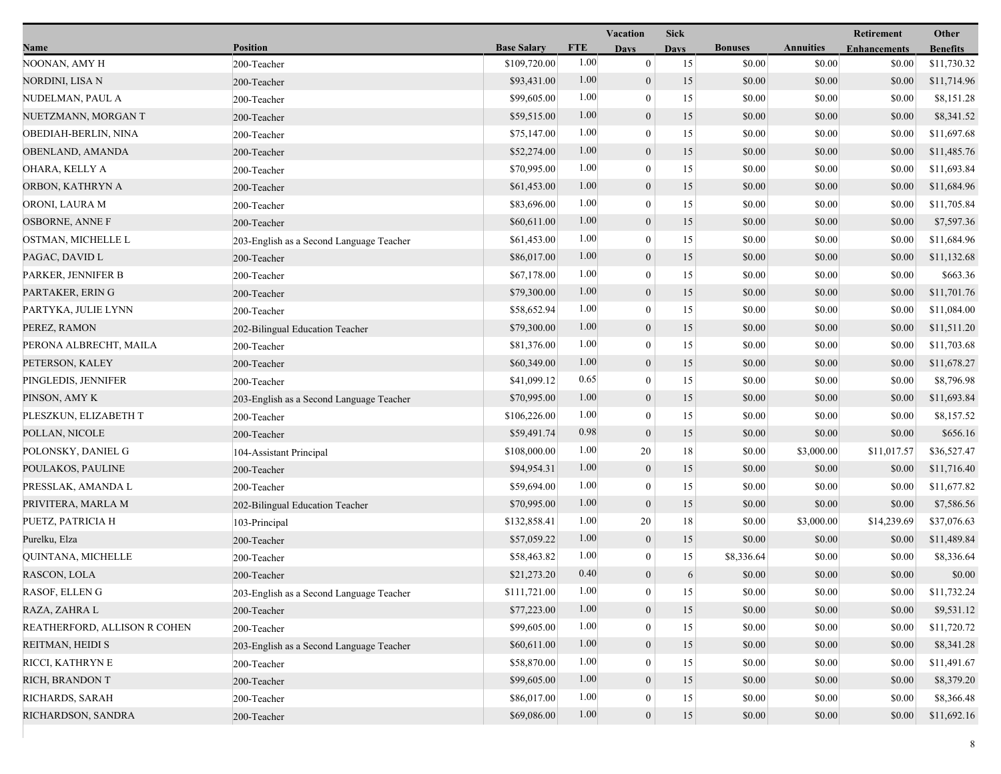|                              |                                          |                    | <b>Vacation</b> |                  |             |                |                  | Retirement          | Other           |
|------------------------------|------------------------------------------|--------------------|-----------------|------------------|-------------|----------------|------------------|---------------------|-----------------|
| Name                         | <b>Position</b>                          | <b>Base Salary</b> | <b>FTE</b>      | Days             | <b>Days</b> | <b>Bonuses</b> | <b>Annuities</b> | <b>Enhancements</b> | <b>Benefits</b> |
| NOONAN, AMY H                | 200-Teacher                              | \$109,720.00       | 1.00            | $\mathbf{0}$     | 15          | \$0.00         | \$0.00           | \$0.00              | \$11,730.32     |
| NORDINI, LISA N              | 200-Teacher                              | \$93,431.00        | 1.00            | $\boldsymbol{0}$ | 15          | \$0.00         | \$0.00           | \$0.00              | \$11,714.96     |
| NUDELMAN, PAUL A             | 200-Teacher                              | \$99,605.00        | 1.00            | $\boldsymbol{0}$ | 15          | \$0.00         | \$0.00           | \$0.00              | \$8,151.28      |
| NUETZMANN, MORGAN T          | 200-Teacher                              | \$59,515.00        | 1.00            | $\boldsymbol{0}$ | 15          | \$0.00         | \$0.00           | \$0.00              | \$8,341.52      |
| OBEDIAH-BERLIN, NINA         | 200-Teacher                              | \$75,147.00        | 1.00            | $\boldsymbol{0}$ | 15          | \$0.00         | \$0.00           | \$0.00              | \$11,697.68     |
| OBENLAND, AMANDA             | 200-Teacher                              | \$52,274.00        | 1.00            | $\boldsymbol{0}$ | 15          | \$0.00         | \$0.00           | \$0.00              | \$11,485.76     |
| OHARA, KELLY A               | 200-Teacher                              | \$70,995.00        | 1.00            | $\mathbf{0}$     | 15          | \$0.00         | \$0.00           | \$0.00              | \$11,693.84     |
| ORBON, KATHRYN A             | 200-Teacher                              | \$61,453.00        | 1.00            | $\boldsymbol{0}$ | 15          | \$0.00         | \$0.00           | \$0.00              | \$11,684.96     |
| ORONI, LAURA M               | 200-Teacher                              | \$83,696.00        | 1.00            | $\boldsymbol{0}$ | 15          | \$0.00         | \$0.00           | \$0.00              | \$11,705.84     |
| <b>OSBORNE, ANNE F</b>       | 200-Teacher                              | \$60,611.00        | 1.00            | $\boldsymbol{0}$ | 15          | \$0.00         | \$0.00           | \$0.00              | \$7,597.36      |
| OSTMAN, MICHELLE L           | 203-English as a Second Language Teacher | \$61,453.00        | 1.00            | $\boldsymbol{0}$ | 15          | \$0.00         | \$0.00           | \$0.00              | \$11,684.96     |
| PAGAC, DAVID L               | 200-Teacher                              | \$86,017.00        | 1.00            | $\boldsymbol{0}$ | 15          | \$0.00         | \$0.00           | \$0.00              | \$11,132.68     |
| PARKER, JENNIFER B           | 200-Teacher                              | \$67,178.00        | 1.00            | $\mathbf{0}$     | 15          | \$0.00         | \$0.00           | \$0.00              | \$663.36        |
| PARTAKER, ERIN G             | 200-Teacher                              | \$79,300.00        | 1.00            | $\boldsymbol{0}$ | 15          | \$0.00         | \$0.00           | \$0.00              | \$11,701.76     |
| PARTYKA, JULIE LYNN          | 200-Teacher                              | \$58,652.94        | 1.00            | $\boldsymbol{0}$ | 15          | \$0.00         | \$0.00           | \$0.00              | \$11,084.00     |
| PEREZ, RAMON                 | 202-Bilingual Education Teacher          | \$79,300.00        | 1.00            | $\boldsymbol{0}$ | 15          | \$0.00         | \$0.00           | \$0.00              | \$11,511.20     |
| PERONA ALBRECHT, MAILA       | 200-Teacher                              | \$81,376.00        | 1.00            | $\boldsymbol{0}$ | 15          | \$0.00         | \$0.00           | \$0.00              | \$11,703.68     |
| PETERSON, KALEY              | 200-Teacher                              | \$60,349.00        | 1.00            | $\boldsymbol{0}$ | 15          | \$0.00         | \$0.00           | \$0.00              | \$11,678.27     |
| PINGLEDIS, JENNIFER          | 200-Teacher                              | \$41,099.12        | 0.65            | $\boldsymbol{0}$ | 15          | \$0.00         | \$0.00           | \$0.00              | \$8,796.98      |
| PINSON, AMY K                | 203-English as a Second Language Teacher | \$70,995.00        | 1.00            | $\boldsymbol{0}$ | 15          | \$0.00         | \$0.00           | \$0.00              | \$11,693.84     |
| PLESZKUN, ELIZABETH T        | 200-Teacher                              | \$106,226.00       | 1.00            | $\boldsymbol{0}$ | 15          | \$0.00         | \$0.00           | \$0.00              | \$8,157.52      |
| POLLAN, NICOLE               | 200-Teacher                              | \$59,491.74        | 0.98            | $\boldsymbol{0}$ | 15          | \$0.00         | \$0.00           | \$0.00              | \$656.16        |
| POLONSKY, DANIEL G           | 104-Assistant Principal                  | \$108,000.00       | 1.00            | 20               | 18          | \$0.00         | \$3,000.00       | \$11,017.57         | \$36,527.47     |
| POULAKOS, PAULINE            | 200-Teacher                              | \$94,954.31        | 1.00            | $\boldsymbol{0}$ | 15          | \$0.00         | \$0.00           | \$0.00              | \$11,716.40     |
| PRESSLAK, AMANDA L           | 200-Teacher                              | \$59,694.00        | 1.00            | $\boldsymbol{0}$ | 15          | \$0.00         | \$0.00           | \$0.00              | \$11,677.82     |
| PRIVITERA, MARLA M           | 202-Bilingual Education Teacher          | \$70,995.00        | 1.00            | $\boldsymbol{0}$ | 15          | \$0.00         | \$0.00           | \$0.00              | \$7,586.56      |
| PUETZ, PATRICIA H            | 103-Principal                            | \$132,858.41       | 1.00            | 20               | 18          | \$0.00         | \$3,000.00       | \$14,239.69         | \$37,076.63     |
| Purelku, Elza                | 200-Teacher                              | \$57,059.22        | 1.00            | $\boldsymbol{0}$ | 15          | \$0.00         | \$0.00           | \$0.00              | \$11,489.84     |
| QUINTANA, MICHELLE           | 200-Teacher                              | \$58,463.82        | 1.00            | $\boldsymbol{0}$ | 15          | \$8,336.64     | \$0.00           | \$0.00              | \$8,336.64      |
| RASCON, LOLA                 | 200-Teacher                              | \$21,273.20        | 0.40            | $\boldsymbol{0}$ | 6           | \$0.00         | \$0.00           | \$0.00              | \$0.00          |
| RASOF, ELLENG                | 203-English as a Second Language Teacher | \$111,721.00       | $1.00\,$        | $\theta$         | 15          | \$0.00         | \$0.00           | \$0.00              | \$11,732.24     |
| RAZA, ZAHRA L                | 200-Teacher                              | \$77,223.00        | 1.00            | $\boldsymbol{0}$ | 15          | \$0.00         | \$0.00           | \$0.00              | \$9,531.12      |
| REATHERFORD, ALLISON R COHEN | 200-Teacher                              | \$99,605.00        | 1.00            | $\boldsymbol{0}$ | 15          | \$0.00         | \$0.00           | \$0.00              | \$11,720.72     |
| REITMAN, HEIDI S             | 203-English as a Second Language Teacher | \$60,611.00        | 1.00            | $\boldsymbol{0}$ | 15          | \$0.00         | \$0.00           | \$0.00              | \$8,341.28      |
| RICCI, KATHRYN E             | 200-Teacher                              | \$58,870.00        | 1.00            | $\mathbf{0}$     | 15          | \$0.00         | \$0.00           | \$0.00              | \$11,491.67     |
| RICH, BRANDON T              | 200-Teacher                              | \$99,605.00        | 1.00            | $\boldsymbol{0}$ | 15          | \$0.00         | \$0.00           | \$0.00              | \$8,379.20      |
| RICHARDS, SARAH              | 200-Teacher                              | \$86,017.00        | 1.00            | $\boldsymbol{0}$ | 15          | \$0.00         | \$0.00           | \$0.00              | \$8,366.48      |
| RICHARDSON, SANDRA           | 200-Teacher                              | \$69,086.00        | 1.00            | $\boldsymbol{0}$ | 15          | \$0.00         | \$0.00           | \$0.00              | \$11,692.16     |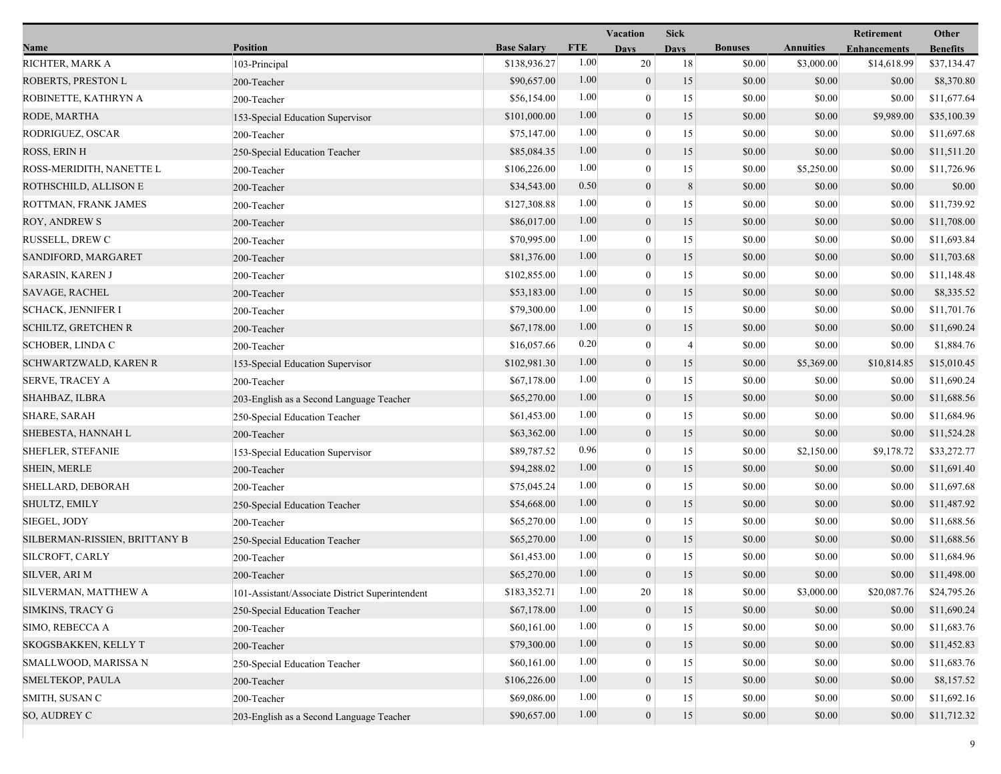|                               |                                                 |                    | <b>Vacation</b> |                  | <b>Sick</b>    |                |                  | Retirement          | Other           |
|-------------------------------|-------------------------------------------------|--------------------|-----------------|------------------|----------------|----------------|------------------|---------------------|-----------------|
| Name                          | <b>Position</b>                                 | <b>Base Salary</b> | <b>FTE</b>      | <b>Days</b>      | <b>Days</b>    | <b>Bonuses</b> | <b>Annuities</b> | <b>Enhancements</b> | <b>Benefits</b> |
| RICHTER, MARK A               | 103-Principal                                   | \$138,936.27       | 1.00            | 20               | 18             | \$0.00         | \$3,000.00       | \$14,618.99         | \$37,134.47     |
| ROBERTS, PRESTON L            | 200-Teacher                                     | \$90,657.00        | 1.00            | $\boldsymbol{0}$ | 15             | \$0.00         | \$0.00           | \$0.00              | \$8,370.80      |
| ROBINETTE, KATHRYN A          | 200-Teacher                                     | \$56,154.00        | 1.00            | $\boldsymbol{0}$ | 15             | \$0.00         | \$0.00           | \$0.00              | \$11,677.64     |
| RODE, MARTHA                  | 153-Special Education Supervisor                | \$101,000.00       | 1.00            | $\boldsymbol{0}$ | 15             | \$0.00         | \$0.00           | \$9,989.00          | \$35,100.39     |
| RODRIGUEZ, OSCAR              | 200-Teacher                                     | \$75,147.00        | 1.00            | $\boldsymbol{0}$ | 15             | \$0.00         | \$0.00           | \$0.00              | \$11,697.68     |
| ROSS, ERIN H                  | 250-Special Education Teacher                   | \$85,084.35        | 1.00            | $\boldsymbol{0}$ | 15             | \$0.00         | \$0.00           | \$0.00              | \$11,511.20     |
| ROSS-MERIDITH, NANETTE L      | 200-Teacher                                     | \$106,226.00       | 1.00            | $\mathbf{0}$     | 15             | \$0.00         | \$5,250.00       | \$0.00              | \$11,726.96     |
| ROTHSCHILD, ALLISON E         | 200-Teacher                                     | \$34,543.00        | 0.50            | $\boldsymbol{0}$ | 8              | \$0.00         | \$0.00           | \$0.00              | \$0.00          |
| ROTTMAN, FRANK JAMES          | 200-Teacher                                     | \$127,308.88       | 1.00            | $\boldsymbol{0}$ | 15             | \$0.00         | \$0.00           | \$0.00              | \$11,739.92     |
| <b>ROY, ANDREWS</b>           | 200-Teacher                                     | \$86,017.00        | 1.00            | $\boldsymbol{0}$ | 15             | \$0.00         | \$0.00           | \$0.00              | \$11,708.00     |
| RUSSELL, DREW C               | 200-Teacher                                     | \$70,995.00        | 1.00            | $\boldsymbol{0}$ | 15             | \$0.00         | \$0.00           | \$0.00              | \$11,693.84     |
| SANDIFORD, MARGARET           | 200-Teacher                                     | \$81,376.00        | 1.00            | $\boldsymbol{0}$ | 15             | \$0.00         | \$0.00           | \$0.00              | \$11,703.68     |
| <b>SARASIN, KAREN J</b>       | 200-Teacher                                     | \$102,855.00       | 1.00            | $\boldsymbol{0}$ | 15             | \$0.00         | \$0.00           | \$0.00              | \$11,148.48     |
| <b>SAVAGE, RACHEL</b>         | 200-Teacher                                     | \$53,183.00        | 1.00            | $\boldsymbol{0}$ | 15             | \$0.00         | \$0.00           | \$0.00              | \$8,335.52      |
| <b>SCHACK, JENNIFER I</b>     | 200-Teacher                                     | \$79,300.00        | 1.00            | $\boldsymbol{0}$ | 15             | \$0.00         | \$0.00           | \$0.00              | \$11,701.76     |
| SCHILTZ, GRETCHEN R           | 200-Teacher                                     | \$67,178.00        | 1.00            | $\boldsymbol{0}$ | 15             | \$0.00         | \$0.00           | \$0.00              | \$11,690.24     |
| <b>SCHOBER, LINDA C</b>       | 200-Teacher                                     | \$16,057.66        | 0.20            | $\boldsymbol{0}$ | $\overline{4}$ | \$0.00         | \$0.00           | \$0.00              | \$1,884.76      |
| SCHWARTZWALD, KAREN R         | 153-Special Education Supervisor                | \$102,981.30       | 1.00            | $\boldsymbol{0}$ | 15             | \$0.00         | \$5,369.00       | \$10,814.85         | \$15,010.45     |
| <b>SERVE, TRACEY A</b>        | 200-Teacher                                     | \$67,178.00        | 1.00            | $\boldsymbol{0}$ | 15             | \$0.00         | \$0.00           | \$0.00              | \$11,690.24     |
| SHAHBAZ, ILBRA                | 203-English as a Second Language Teacher        | \$65,270.00        | 1.00            | $\boldsymbol{0}$ | 15             | \$0.00         | \$0.00           | \$0.00              | \$11,688.56     |
| SHARE, SARAH                  | 250-Special Education Teacher                   | \$61,453.00        | 1.00            | $\boldsymbol{0}$ | 15             | \$0.00         | \$0.00           | \$0.00              | \$11,684.96     |
| SHEBESTA, HANNAH L            | 200-Teacher                                     | \$63,362.00        | 1.00            | $\boldsymbol{0}$ | 15             | \$0.00         | \$0.00           | \$0.00              | \$11,524.28     |
| SHEFLER, STEFANIE             | 153-Special Education Supervisor                | \$89,787.52        | 0.96            | $\boldsymbol{0}$ | 15             | \$0.00         | \$2,150.00       | \$9,178.72          | \$33,272.77     |
| <b>SHEIN, MERLE</b>           | 200-Teacher                                     | \$94,288.02        | 1.00            | $\boldsymbol{0}$ | 15             | \$0.00         | \$0.00           | \$0.00              | \$11,691.40     |
| SHELLARD, DEBORAH             | 200-Teacher                                     | \$75,045.24        | 1.00            | $\boldsymbol{0}$ | 15             | \$0.00         | \$0.00           | \$0.00              | \$11,697.68     |
| SHULTZ, EMILY                 | 250-Special Education Teacher                   | \$54,668.00        | 1.00            | $\boldsymbol{0}$ | 15             | \$0.00         | \$0.00           | \$0.00              | \$11,487.92     |
| SIEGEL, JODY                  | 200-Teacher                                     | \$65,270.00        | 1.00            | $\overline{0}$   | 15             | \$0.00         | \$0.00           | \$0.00              | \$11,688.56     |
| SILBERMAN-RISSIEN, BRITTANY B | 250-Special Education Teacher                   | \$65,270.00        | 1.00            | $\boldsymbol{0}$ | 15             | \$0.00         | \$0.00           | \$0.00              | \$11,688.56     |
| SILCROFT, CARLY               | 200-Teacher                                     | \$61,453.00        | 1.00            | $\mathbf{0}$     | 15             | \$0.00         | \$0.00           | \$0.00              | \$11,684.96     |
| <b>SILVER, ARI M</b>          | 200-Teacher                                     | \$65,270.00        | 1.00            | $\boldsymbol{0}$ | 15             | \$0.00         | \$0.00           | \$0.00              | \$11,498.00     |
| SILVERMAN, MATTHEW A          | 101-Assistant/Associate District Superintendent | \$183,352.71       | $1.00\,$        | 20               | 18             | \$0.00         | \$3,000.00       | \$20,087.76         | \$24,795.26     |
| SIMKINS, TRACY G              | 250-Special Education Teacher                   | \$67,178.00        | 1.00            | $\boldsymbol{0}$ | 15             | \$0.00         | \$0.00           | \$0.00              | \$11,690.24     |
| SIMO, REBECCA A               | 200-Teacher                                     | \$60,161.00        | 1.00            | $\boldsymbol{0}$ | 15             | \$0.00         | \$0.00           | \$0.00              | \$11,683.76     |
| SKOGSBAKKEN, KELLY T          | 200-Teacher                                     | \$79,300.00        | 1.00            | $\boldsymbol{0}$ | 15             | \$0.00         | \$0.00           | \$0.00              | \$11,452.83     |
| SMALLWOOD, MARISSA N          | 250-Special Education Teacher                   | \$60,161.00        | 1.00            | $\mathbf{0}$     | 15             | \$0.00         | \$0.00           | \$0.00              | \$11,683.76     |
| SMELTEKOP, PAULA              | 200-Teacher                                     | \$106,226.00       | 1.00            | $\boldsymbol{0}$ | 15             | \$0.00         | \$0.00           | \$0.00              | \$8,157.52      |
| SMITH, SUSAN C                | 200-Teacher                                     | \$69,086.00        | 1.00            | $\boldsymbol{0}$ | 15             | \$0.00         | \$0.00           | \$0.00              | \$11,692.16     |
| SO, AUDREY C                  | 203-English as a Second Language Teacher        | \$90,657.00        | 1.00            | $\boldsymbol{0}$ | 15             | \$0.00         | \$0.00           | \$0.00              | \$11,712.32     |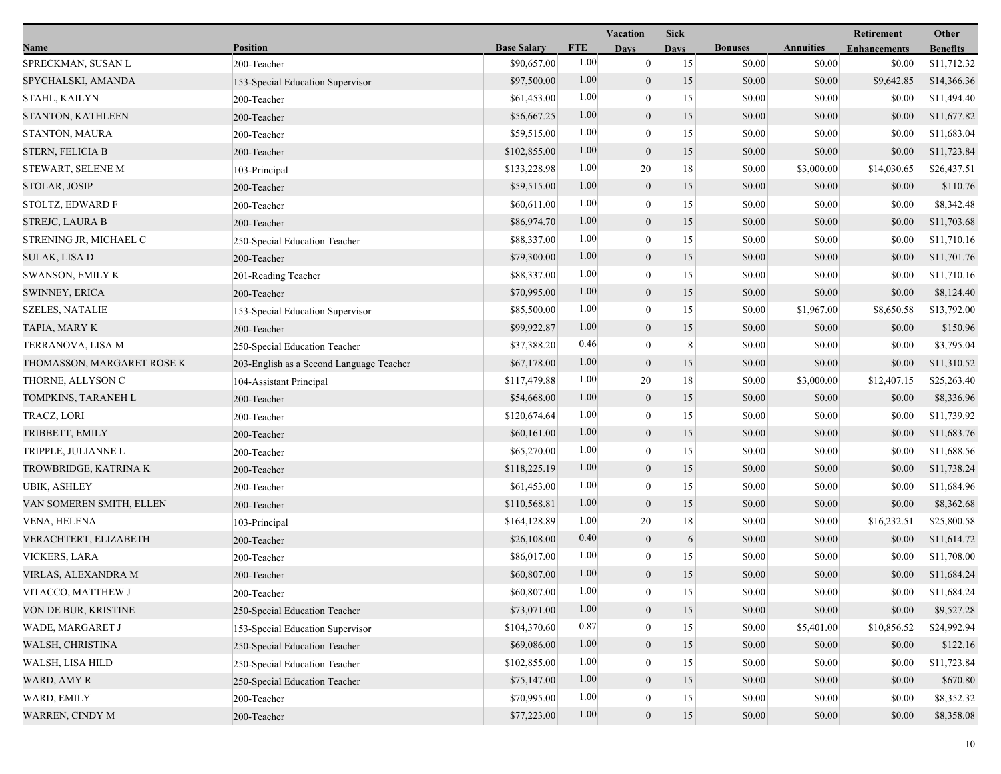|                            |                                          |                    |            | Vacation         | <b>Sick</b> |                |                  | Retirement          | Other           |
|----------------------------|------------------------------------------|--------------------|------------|------------------|-------------|----------------|------------------|---------------------|-----------------|
| Name                       | <b>Position</b>                          | <b>Base Salary</b> | <b>FTE</b> | Days             | <b>Days</b> | <b>Bonuses</b> | <b>Annuities</b> | <b>Enhancements</b> | <b>Benefits</b> |
| SPRECKMAN, SUSAN L         | 200-Teacher                              | \$90,657.00        | 1.00       | $\mathbf{0}$     | 15          | \$0.00         | \$0.00           | \$0.00              | \$11,712.32     |
| SPYCHALSKI, AMANDA         | 153-Special Education Supervisor         | \$97,500.00        | 1.00       | $\mathbf{0}$     | 15          | \$0.00         | \$0.00           | \$9,642.85          | \$14,366.36     |
| STAHL, KAILYN              | 200-Teacher                              | \$61,453.00        | 1.00       | $\bf{0}$         | 15          | \$0.00         | \$0.00           | \$0.00              | \$11,494.40     |
| STANTON, KATHLEEN          | 200-Teacher                              | \$56,667.25        | 1.00       | $\mathbf{0}$     | 15          | \$0.00         | \$0.00           | \$0.00              | \$11,677.82     |
| <b>STANTON, MAURA</b>      | 200-Teacher                              | \$59,515.00        | 1.00       | $\boldsymbol{0}$ | 15          | \$0.00         | \$0.00           | \$0.00              | \$11,683.04     |
| <b>STERN, FELICIA B</b>    | 200-Teacher                              | \$102,855.00       | 1.00       | $\mathbf{0}$     | 15          | \$0.00         | \$0.00           | \$0.00              | \$11,723.84     |
| STEWART, SELENE M          | 103-Principal                            | \$133,228.98       | 1.00       | 20               | 18          | \$0.00         | \$3,000.00       | \$14,030.65         | \$26,437.51     |
| <b>STOLAR, JOSIP</b>       | 200-Teacher                              | \$59,515.00        | 1.00       | $\mathbf{0}$     | 15          | \$0.00         | \$0.00           | \$0.00              | \$110.76        |
| STOLTZ, EDWARD F           | 200-Teacher                              | \$60,611.00        | 1.00       | $\bf{0}$         | 15          | \$0.00         | \$0.00           | \$0.00              | \$8,342.48      |
| <b>STREJC, LAURA B</b>     | 200-Teacher                              | \$86,974.70        | 1.00       | $\mathbf{0}$     | 15          | \$0.00         | \$0.00           | \$0.00              | \$11,703.68     |
| STRENING JR, MICHAEL C     | 250-Special Education Teacher            | \$88,337.00        | 1.00       | $\bf{0}$         | 15          | \$0.00         | \$0.00           | \$0.00              | \$11,710.16     |
| SULAK, LISA D              | 200-Teacher                              | \$79,300.00        | 1.00       | $\mathbf{0}$     | 15          | \$0.00         | \$0.00           | \$0.00              | \$11,701.76     |
| <b>SWANSON, EMILY K</b>    | 201-Reading Teacher                      | \$88,337.00        | 1.00       | $\mathbf{0}$     | 15          | \$0.00         | \$0.00           | \$0.00              | \$11,710.16     |
| <b>SWINNEY, ERICA</b>      | 200-Teacher                              | \$70,995.00        | 1.00       | $\mathbf{0}$     | 15          | \$0.00         | \$0.00           | \$0.00              | \$8,124.40      |
| <b>SZELES, NATALIE</b>     | 153-Special Education Supervisor         | \$85,500.00        | 1.00       | $\boldsymbol{0}$ | 15          | \$0.00         | \$1,967.00       | \$8,650.58          | \$13,792.00     |
| TAPIA, MARY K              | 200-Teacher                              | \$99,922.87        | 1.00       | $\mathbf{0}$     | 15          | \$0.00         | \$0.00           | \$0.00              | \$150.96        |
| TERRANOVA, LISA M          | 250-Special Education Teacher            | \$37,388.20        | 0.46       | $\bf{0}$         | 8           | \$0.00         | \$0.00           | \$0.00              | \$3,795.04      |
| THOMASSON, MARGARET ROSE K | 203-English as a Second Language Teacher | \$67,178.00        | 1.00       | $\mathbf{0}$     | 15          | \$0.00         | \$0.00           | \$0.00              | \$11,310.52     |
| THORNE, ALLYSON C          | 104-Assistant Principal                  | \$117,479.88       | 1.00       | 20               | 18          | \$0.00         | \$3,000.00       | \$12,407.15         | \$25,263.40     |
| TOMPKINS, TARANEH L        | 200-Teacher                              | \$54,668.00        | 1.00       | $\mathbf{0}$     | 15          | \$0.00         | \$0.00           | \$0.00              | \$8,336.96      |
| TRACZ, LORI                | 200-Teacher                              | \$120,674.64       | 1.00       | $\boldsymbol{0}$ | 15          | \$0.00         | \$0.00           | \$0.00              | \$11,739.92     |
| TRIBBETT, EMILY            | 200-Teacher                              | \$60,161.00        | 1.00       | $\mathbf{0}$     | 15          | \$0.00         | \$0.00           | \$0.00              | \$11,683.76     |
| TRIPPLE, JULIANNE L        | 200-Teacher                              | \$65,270.00        | 1.00       | $\bf{0}$         | 15          | \$0.00         | \$0.00           | \$0.00              | \$11,688.56     |
| TROWBRIDGE, KATRINA K      | 200-Teacher                              | \$118,225.19       | 1.00       | $\mathbf{0}$     | 15          | \$0.00         | \$0.00           | \$0.00              | \$11,738.24     |
| <b>UBIK, ASHLEY</b>        | 200-Teacher                              | \$61,453.00        | 1.00       | $\mathbf{0}$     | 15          | \$0.00         | \$0.00           | \$0.00              | \$11,684.96     |
| VAN SOMEREN SMITH, ELLEN   | 200-Teacher                              | \$110,568.81       | 1.00       | $\mathbf{0}$     | 15          | \$0.00         | \$0.00           | \$0.00              | \$8,362.68      |
| <b>VENA, HELENA</b>        | 103-Principal                            | \$164,128.89       | 1.00       | 20               | 18          | \$0.00         | \$0.00           | \$16,232.51         | \$25,800.58     |
| VERACHTERT, ELIZABETH      | 200-Teacher                              | \$26,108.00        | 0.40       | $\mathbf{0}$     | 6           | \$0.00         | \$0.00           | \$0.00              | \$11,614.72     |
| <b>VICKERS, LARA</b>       | 200-Teacher                              | \$86,017.00        | 1.00       | $\mathbf{0}$     | 15          | \$0.00         | \$0.00           | \$0.00              | \$11,708.00     |
| VIRLAS, ALEXANDRA M        | 200-Teacher                              | \$60,807.00        | 1.00       | $\overline{0}$   | 15          | \$0.00         | \$0.00           | \$0.00              | \$11,684.24     |
| VITACCO, MATTHEW J         | 200-Teacher                              | \$60,807.00        | 1.00       | $\bf{0}$         | 15          | \$0.00         | \$0.00           | \$0.00              | \$11,684.24     |
| VON DE BUR, KRISTINE       | 250-Special Education Teacher            | \$73,071.00        | 1.00       | $\mathbf{0}$     | 15          | \$0.00         | \$0.00           | \$0.00              | \$9,527.28      |
| <b>WADE, MARGARET J</b>    | 153-Special Education Supervisor         | \$104,370.60       | 0.87       | $\mathbf{0}$     | 15          | \$0.00         | \$5,401.00       | \$10,856.52         | \$24,992.94     |
| WALSH, CHRISTINA           | 250-Special Education Teacher            | \$69,086.00        | 1.00       | $\mathbf{0}$     | 15          | \$0.00         | \$0.00           | \$0.00              | \$122.16        |
| WALSH, LISA HILD           | 250-Special Education Teacher            | \$102,855.00       | 1.00       | $\theta$         | 15          | \$0.00         | \$0.00           | \$0.00              | \$11,723.84     |
| WARD, AMY R                | 250-Special Education Teacher            | \$75,147.00        | 1.00       | $\mathbf{0}$     | 15          | \$0.00         | \$0.00           | \$0.00              | \$670.80        |
| WARD, EMILY                | 200-Teacher                              | \$70,995.00        | 1.00       | $\mathbf{0}$     | 15          | \$0.00         | \$0.00           | \$0.00              | \$8,352.32      |
| <b>WARREN, CINDY M</b>     | 200-Teacher                              | \$77,223.00        | 1.00       | $\overline{0}$   | 15          | \$0.00         | \$0.00           | \$0.00              | \$8,358.08      |
|                            |                                          |                    |            |                  |             |                |                  |                     |                 |